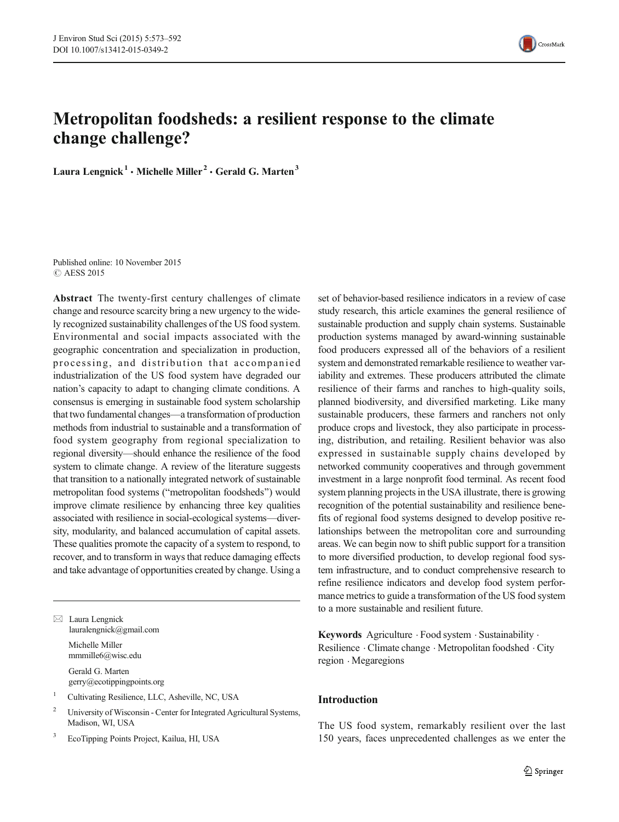

# Metropolitan foodsheds: a resilient response to the climate change challenge?

Laura Lengnick<sup>1</sup> • Michelle Miller<sup>2</sup> • Gerald G. Marten<sup>3</sup>

Published online: 10 November 2015 C AESS 2015

Abstract The twenty-first century challenges of climate change and resource scarcity bring a new urgency to the widely recognized sustainability challenges of the US food system. Environmental and social impacts associated with the geographic concentration and specialization in production, processing, and distribution that accompanied industrialization of the US food system have degraded our nation's capacity to adapt to changing climate conditions. A consensus is emerging in sustainable food system scholarship that two fundamental changes—a transformation of production methods from industrial to sustainable and a transformation of food system geography from regional specialization to regional diversity—should enhance the resilience of the food system to climate change. A review of the literature suggests that transition to a nationally integrated network of sustainable metropolitan food systems ("metropolitan foodsheds") would improve climate resilience by enhancing three key qualities associated with resilience in social-ecological systems—diversity, modularity, and balanced accumulation of capital assets. These qualities promote the capacity of a system to respond, to recover, and to transform in ways that reduce damaging effects and take advantage of opportunities created by change. Using a

 $\boxtimes$  Laura Lengnick lauralengnick@gmail.com

> Michelle Miller mmmille6@wisc.edu Gerald G. Marten

gerry@ecotippingpoints.org

<sup>1</sup> Cultivating Resilience, LLC, Asheville, NC, USA

<sup>2</sup> University of Wisconsin - Center for Integrated Agricultural Systems, Madison, WI, USA

<sup>3</sup> EcoTipping Points Project, Kailua, HI, USA

set of behavior-based resilience indicators in a review of case study research, this article examines the general resilience of sustainable production and supply chain systems. Sustainable production systems managed by award-winning sustainable food producers expressed all of the behaviors of a resilient system and demonstrated remarkable resilience to weather variability and extremes. These producers attributed the climate resilience of their farms and ranches to high-quality soils, planned biodiversity, and diversified marketing. Like many sustainable producers, these farmers and ranchers not only produce crops and livestock, they also participate in processing, distribution, and retailing. Resilient behavior was also expressed in sustainable supply chains developed by networked community cooperatives and through government investment in a large nonprofit food terminal. As recent food system planning projects in the USA illustrate, there is growing recognition of the potential sustainability and resilience benefits of regional food systems designed to develop positive relationships between the metropolitan core and surrounding areas. We can begin now to shift public support for a transition to more diversified production, to develop regional food system infrastructure, and to conduct comprehensive research to refine resilience indicators and develop food system performance metrics to guide a transformation of the US food system to a more sustainable and resilient future.

Keywords Agriculture . Food system . Sustainability . Resilience . Climate change . Metropolitan foodshed . City region . Megaregions

# Introduction

The US food system, remarkably resilient over the last 150 years, faces unprecedented challenges as we enter the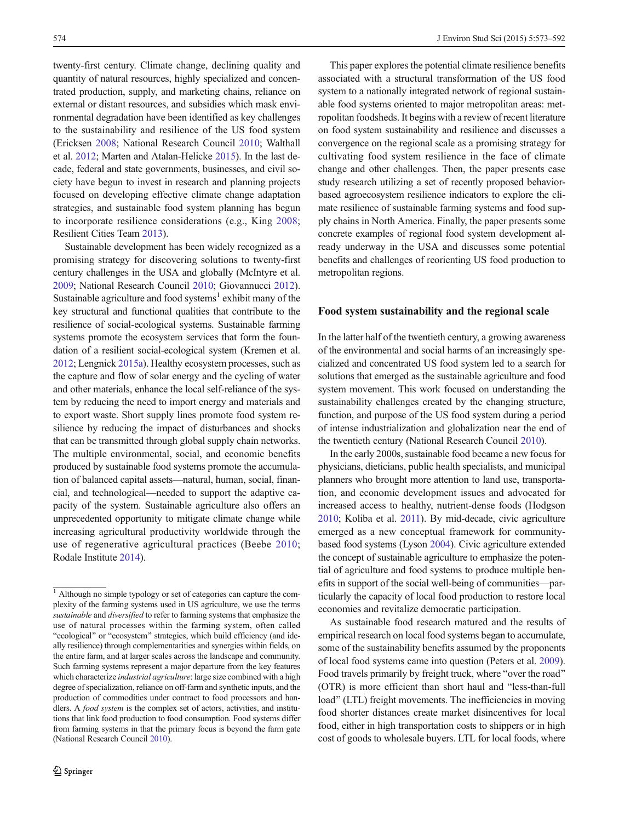twenty-first century. Climate change, declining quality and quantity of natural resources, highly specialized and concentrated production, supply, and marketing chains, reliance on external or distant resources, and subsidies which mask environmental degradation have been identified as key challenges to the sustainability and resilience of the US food system (Ericksen [2008;](#page-17-0) National Research Council [2010;](#page-18-0) Walthall et al. [2012](#page-19-0); Marten and Atalan-Helicke [2015\)](#page-18-0). In the last decade, federal and state governments, businesses, and civil society have begun to invest in research and planning projects focused on developing effective climate change adaptation strategies, and sustainable food system planning has begun to incorporate resilience considerations (e.g., King [2008](#page-18-0); Resilient Cities Team [2013\)](#page-18-0).

Sustainable development has been widely recognized as a promising strategy for discovering solutions to twenty-first century challenges in the USA and globally (McIntyre et al. [2009;](#page-18-0) National Research Council [2010](#page-18-0); Giovannucci [2012\)](#page-17-0). Sustainable agriculture and food systems<sup>1</sup> exhibit many of the key structural and functional qualities that contribute to the resilience of social-ecological systems. Sustainable farming systems promote the ecosystem services that form the foundation of a resilient social-ecological system (Kremen et al. [2012;](#page-18-0) Lengnick [2015a\)](#page-18-0). Healthy ecosystem processes, such as the capture and flow of solar energy and the cycling of water and other materials, enhance the local self-reliance of the system by reducing the need to import energy and materials and to export waste. Short supply lines promote food system resilience by reducing the impact of disturbances and shocks that can be transmitted through global supply chain networks. The multiple environmental, social, and economic benefits produced by sustainable food systems promote the accumulation of balanced capital assets—natural, human, social, financial, and technological—needed to support the adaptive capacity of the system. Sustainable agriculture also offers an unprecedented opportunity to mitigate climate change while increasing agricultural productivity worldwide through the use of regenerative agricultural practices (Beebe [2010](#page-17-0); Rodale Institute [2014\)](#page-18-0).

This paper explores the potential climate resilience benefits associated with a structural transformation of the US food system to a nationally integrated network of regional sustainable food systems oriented to major metropolitan areas: metropolitan foodsheds. It begins with a review of recent literature on food system sustainability and resilience and discusses a convergence on the regional scale as a promising strategy for cultivating food system resilience in the face of climate change and other challenges. Then, the paper presents case study research utilizing a set of recently proposed behaviorbased agroecosystem resilience indicators to explore the climate resilience of sustainable farming systems and food supply chains in North America. Finally, the paper presents some concrete examples of regional food system development already underway in the USA and discusses some potential benefits and challenges of reorienting US food production to metropolitan regions.

#### Food system sustainability and the regional scale

In the latter half of the twentieth century, a growing awareness of the environmental and social harms of an increasingly specialized and concentrated US food system led to a search for solutions that emerged as the sustainable agriculture and food system movement. This work focused on understanding the sustainability challenges created by the changing structure, function, and purpose of the US food system during a period of intense industrialization and globalization near the end of the twentieth century (National Research Council [2010\)](#page-18-0).

In the early 2000s, sustainable food became a new focus for physicians, dieticians, public health specialists, and municipal planners who brought more attention to land use, transportation, and economic development issues and advocated for increased access to healthy, nutrient-dense foods (Hodgson [2010;](#page-17-0) Koliba et al. [2011\)](#page-18-0). By mid-decade, civic agriculture emerged as a new conceptual framework for communitybased food systems (Lyson [2004](#page-18-0)). Civic agriculture extended the concept of sustainable agriculture to emphasize the potential of agriculture and food systems to produce multiple benefits in support of the social well-being of communities—particularly the capacity of local food production to restore local economies and revitalize democratic participation.

As sustainable food research matured and the results of empirical research on local food systems began to accumulate, some of the sustainability benefits assumed by the proponents of local food systems came into question (Peters et al. [2009\)](#page-18-0). Food travels primarily by freight truck, where "over the road" (OTR) is more efficient than short haul and "less-than-full load" (LTL) freight movements. The inefficiencies in moving food shorter distances create market disincentives for local food, either in high transportation costs to shippers or in high cost of goods to wholesale buyers. LTL for local foods, where

<sup>&</sup>lt;sup>1</sup> Although no simple typology or set of categories can capture the complexity of the farming systems used in US agriculture, we use the terms sustainable and diversified to refer to farming systems that emphasize the use of natural processes within the farming system, often called "ecological" or "ecosystem" strategies, which build efficiency (and ideally resilience) through complementarities and synergies within fields, on the entire farm, and at larger scales across the landscape and community. Such farming systems represent a major departure from the key features which characterize industrial agriculture: large size combined with a high degree of specialization, reliance on off-farm and synthetic inputs, and the production of commodities under contract to food processors and handlers. A food system is the complex set of actors, activities, and institutions that link food production to food consumption. Food systems differ from farming systems in that the primary focus is beyond the farm gate (National Research Council [2010\)](#page-18-0).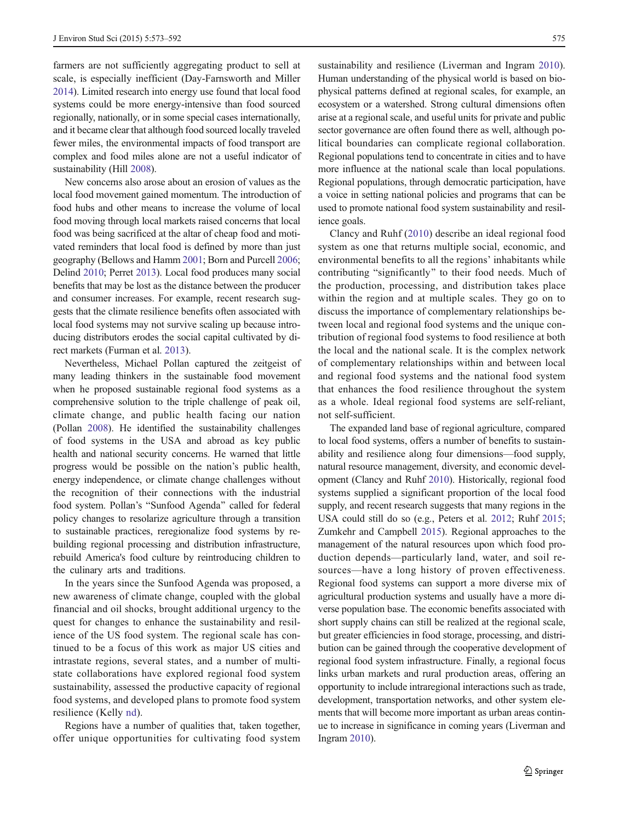farmers are not sufficiently aggregating product to sell at scale, is especially inefficient (Day-Farnsworth and Miller [2014\)](#page-17-0). Limited research into energy use found that local food systems could be more energy-intensive than food sourced regionally, nationally, or in some special cases internationally, and it became clear that although food sourced locally traveled fewer miles, the environmental impacts of food transport are complex and food miles alone are not a useful indicator of sustainability (Hill [2008](#page-17-0)).

New concerns also arose about an erosion of values as the local food movement gained momentum. The introduction of food hubs and other means to increase the volume of local food moving through local markets raised concerns that local food was being sacrificed at the altar of cheap food and motivated reminders that local food is defined by more than just geography (Bellows and Hamm [2001](#page-17-0); Born and Purcell [2006](#page-17-0); Delind [2010;](#page-17-0) Perret [2013](#page-18-0)). Local food produces many social benefits that may be lost as the distance between the producer and consumer increases. For example, recent research suggests that the climate resilience benefits often associated with local food systems may not survive scaling up because introducing distributors erodes the social capital cultivated by direct markets (Furman et al. [2013](#page-17-0)).

Nevertheless, Michael Pollan captured the zeitgeist of many leading thinkers in the sustainable food movement when he proposed sustainable regional food systems as a comprehensive solution to the triple challenge of peak oil, climate change, and public health facing our nation (Pollan [2008\)](#page-18-0). He identified the sustainability challenges of food systems in the USA and abroad as key public health and national security concerns. He warned that little progress would be possible on the nation's public health, energy independence, or climate change challenges without the recognition of their connections with the industrial food system. Pollan's "Sunfood Agenda" called for federal policy changes to resolarize agriculture through a transition to sustainable practices, reregionalize food systems by rebuilding regional processing and distribution infrastructure, rebuild America's food culture by reintroducing children to the culinary arts and traditions.

In the years since the Sunfood Agenda was proposed, a new awareness of climate change, coupled with the global financial and oil shocks, brought additional urgency to the quest for changes to enhance the sustainability and resilience of the US food system. The regional scale has continued to be a focus of this work as major US cities and intrastate regions, several states, and a number of multistate collaborations have explored regional food system sustainability, assessed the productive capacity of regional food systems, and developed plans to promote food system resilience (Kelly [nd\)](#page-18-0).

Regions have a number of qualities that, taken together, offer unique opportunities for cultivating food system sustainability and resilience (Liverman and Ingram [2010\)](#page-18-0). Human understanding of the physical world is based on biophysical patterns defined at regional scales, for example, an ecosystem or a watershed. Strong cultural dimensions often arise at a regional scale, and useful units for private and public sector governance are often found there as well, although political boundaries can complicate regional collaboration. Regional populations tend to concentrate in cities and to have more influence at the national scale than local populations. Regional populations, through democratic participation, have a voice in setting national policies and programs that can be used to promote national food system sustainability and resilience goals.

Clancy and Ruhf ([2010\)](#page-17-0) describe an ideal regional food system as one that returns multiple social, economic, and environmental benefits to all the regions' inhabitants while contributing "significantly" to their food needs. Much of the production, processing, and distribution takes place within the region and at multiple scales. They go on to discuss the importance of complementary relationships between local and regional food systems and the unique contribution of regional food systems to food resilience at both the local and the national scale. It is the complex network of complementary relationships within and between local and regional food systems and the national food system that enhances the food resilience throughout the system as a whole. Ideal regional food systems are self-reliant, not self-sufficient.

The expanded land base of regional agriculture, compared to local food systems, offers a number of benefits to sustainability and resilience along four dimensions—food supply, natural resource management, diversity, and economic development (Clancy and Ruhf [2010](#page-17-0)). Historically, regional food systems supplied a significant proportion of the local food supply, and recent research suggests that many regions in the USA could still do so (e.g., Peters et al. [2012](#page-18-0); Ruhf [2015;](#page-18-0) Zumkehr and Campbell [2015](#page-19-0)). Regional approaches to the management of the natural resources upon which food production depends—particularly land, water, and soil resources—have a long history of proven effectiveness. Regional food systems can support a more diverse mix of agricultural production systems and usually have a more diverse population base. The economic benefits associated with short supply chains can still be realized at the regional scale, but greater efficiencies in food storage, processing, and distribution can be gained through the cooperative development of regional food system infrastructure. Finally, a regional focus links urban markets and rural production areas, offering an opportunity to include intraregional interactions such as trade, development, transportation networks, and other system elements that will become more important as urban areas continue to increase in significance in coming years (Liverman and Ingram [2010](#page-18-0)).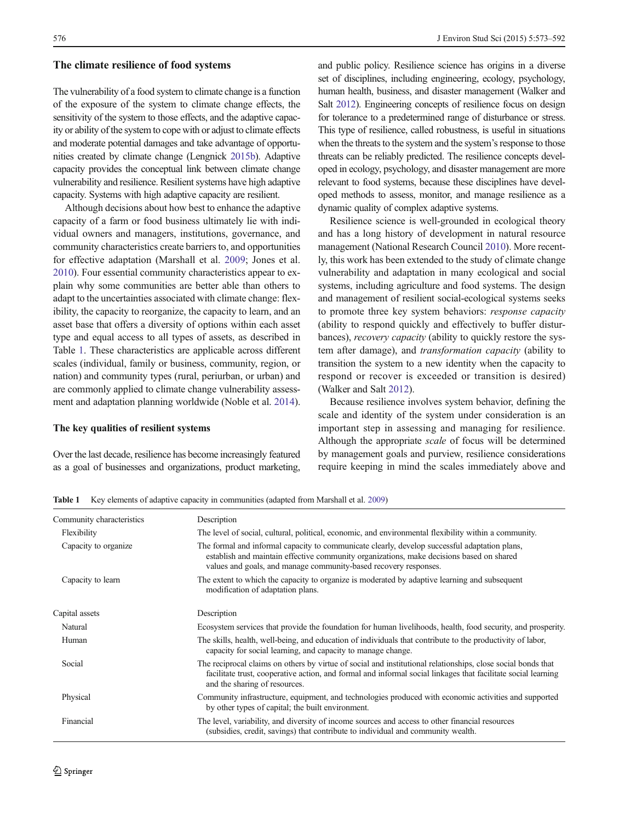#### The climate resilience of food systems

The vulnerability of a food system to climate change is a function of the exposure of the system to climate change effects, the sensitivity of the system to those effects, and the adaptive capacity or ability of the system to cope with or adjust to climate effects and moderate potential damages and take advantage of opportunities created by climate change (Lengnick [2015b\)](#page-18-0). Adaptive capacity provides the conceptual link between climate change vulnerability and resilience. Resilient systems have high adaptive capacity. Systems with high adaptive capacity are resilient.

Although decisions about how best to enhance the adaptive capacity of a farm or food business ultimately lie with individual owners and managers, institutions, governance, and community characteristics create barriers to, and opportunities for effective adaptation (Marshall et al. [2009](#page-18-0); Jones et al. [2010\)](#page-18-0). Four essential community characteristics appear to explain why some communities are better able than others to adapt to the uncertainties associated with climate change: flexibility, the capacity to reorganize, the capacity to learn, and an asset base that offers a diversity of options within each asset type and equal access to all types of assets, as described in Table 1. These characteristics are applicable across different scales (individual, family or business, community, region, or nation) and community types (rural, periurban, or urban) and are commonly applied to climate change vulnerability assessment and adaptation planning worldwide (Noble et al. [2014\)](#page-18-0).

#### The key qualities of resilient systems

Over the last decade, resilience has become increasingly featured as a goal of businesses and organizations, product marketing,

and public policy. Resilience science has origins in a diverse set of disciplines, including engineering, ecology, psychology, human health, business, and disaster management (Walker and Salt [2012](#page-19-0)). Engineering concepts of resilience focus on design for tolerance to a predetermined range of disturbance or stress. This type of resilience, called robustness, is useful in situations when the threats to the system and the system's response to those threats can be reliably predicted. The resilience concepts developed in ecology, psychology, and disaster management are more relevant to food systems, because these disciplines have developed methods to assess, monitor, and manage resilience as a dynamic quality of complex adaptive systems.

Resilience science is well-grounded in ecological theory and has a long history of development in natural resource management (National Research Council [2010\)](#page-18-0). More recently, this work has been extended to the study of climate change vulnerability and adaptation in many ecological and social systems, including agriculture and food systems. The design and management of resilient social-ecological systems seeks to promote three key system behaviors: response capacity (ability to respond quickly and effectively to buffer disturbances), recovery capacity (ability to quickly restore the system after damage), and transformation capacity (ability to transition the system to a new identity when the capacity to respond or recover is exceeded or transition is desired) (Walker and Salt [2012\)](#page-19-0).

Because resilience involves system behavior, defining the scale and identity of the system under consideration is an important step in assessing and managing for resilience. Although the appropriate scale of focus will be determined by management goals and purview, resilience considerations require keeping in mind the scales immediately above and

Table 1 Key elements of adaptive capacity in communities (adapted from Marshall et al. [2009\)](#page-18-0)

| Community characteristics | Description                                                                                                                                                                                                                                                    |  |
|---------------------------|----------------------------------------------------------------------------------------------------------------------------------------------------------------------------------------------------------------------------------------------------------------|--|
| Flexibility               | The level of social, cultural, political, economic, and environmental flexibility within a community.                                                                                                                                                          |  |
| Capacity to organize      | The formal and informal capacity to communicate clearly, develop successful adaptation plans,<br>establish and maintain effective community organizations, make decisions based on shared<br>values and goals, and manage community-based recovery responses.  |  |
| Capacity to learn         | The extent to which the capacity to organize is moderated by adaptive learning and subsequent<br>modification of adaptation plans.                                                                                                                             |  |
| Capital assets            | Description                                                                                                                                                                                                                                                    |  |
| Natural                   | Ecosystem services that provide the foundation for human livelihoods, health, food security, and prosperity.                                                                                                                                                   |  |
| Human                     | The skills, health, well-being, and education of individuals that contribute to the productivity of labor,<br>capacity for social learning, and capacity to manage change.                                                                                     |  |
| Social                    | The reciprocal claims on others by virtue of social and institutional relationships, close social bonds that<br>facilitate trust, cooperative action, and formal and informal social linkages that facilitate social learning<br>and the sharing of resources. |  |
| Physical                  | Community infrastructure, equipment, and technologies produced with economic activities and supported<br>by other types of capital; the built environment.                                                                                                     |  |
| Financial                 | The level, variability, and diversity of income sources and access to other financial resources<br>(subsidies, credit, savings) that contribute to individual and community wealth.                                                                            |  |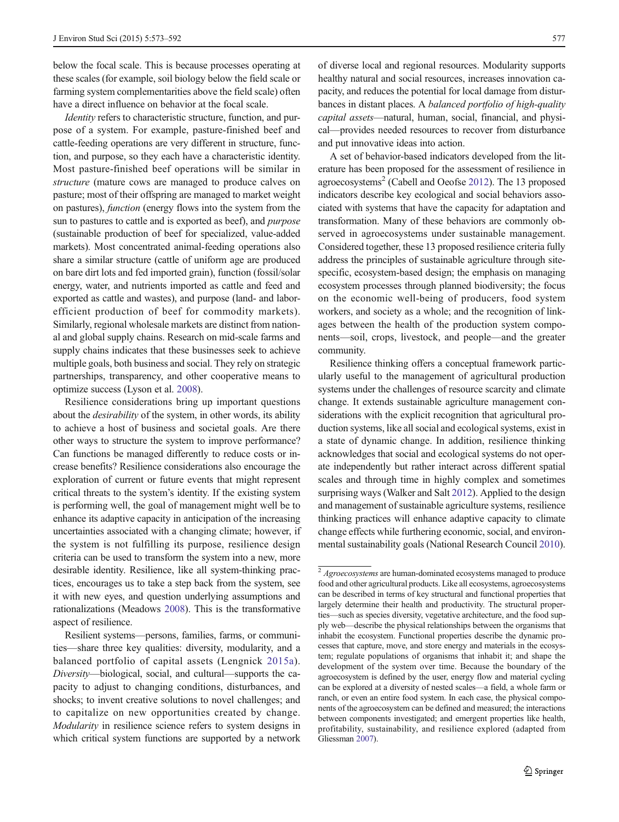below the focal scale. This is because processes operating at these scales (for example, soil biology below the field scale or farming system complementarities above the field scale) often have a direct influence on behavior at the focal scale.

Identity refers to characteristic structure, function, and purpose of a system. For example, pasture-finished beef and cattle-feeding operations are very different in structure, function, and purpose, so they each have a characteristic identity. Most pasture-finished beef operations will be similar in structure (mature cows are managed to produce calves on pasture; most of their offspring are managed to market weight on pastures), function (energy flows into the system from the sun to pastures to cattle and is exported as beef), and *purpose* (sustainable production of beef for specialized, value-added markets). Most concentrated animal-feeding operations also share a similar structure (cattle of uniform age are produced on bare dirt lots and fed imported grain), function (fossil/solar energy, water, and nutrients imported as cattle and feed and exported as cattle and wastes), and purpose (land- and laborefficient production of beef for commodity markets). Similarly, regional wholesale markets are distinct from national and global supply chains. Research on mid-scale farms and supply chains indicates that these businesses seek to achieve multiple goals, both business and social. They rely on strategic partnerships, transparency, and other cooperative means to optimize success (Lyson et al. [2008\)](#page-18-0).

Resilience considerations bring up important questions about the desirability of the system, in other words, its ability to achieve a host of business and societal goals. Are there other ways to structure the system to improve performance? Can functions be managed differently to reduce costs or increase benefits? Resilience considerations also encourage the exploration of current or future events that might represent critical threats to the system's identity. If the existing system is performing well, the goal of management might well be to enhance its adaptive capacity in anticipation of the increasing uncertainties associated with a changing climate; however, if the system is not fulfilling its purpose, resilience design criteria can be used to transform the system into a new, more desirable identity. Resilience, like all system-thinking practices, encourages us to take a step back from the system, see it with new eyes, and question underlying assumptions and rationalizations (Meadows [2008\)](#page-18-0). This is the transformative aspect of resilience.

Resilient systems—persons, families, farms, or communities—share three key qualities: diversity, modularity, and a balanced portfolio of capital assets (Lengnick [2015a](#page-18-0)). Diversity—biological, social, and cultural—supports the capacity to adjust to changing conditions, disturbances, and shocks; to invent creative solutions to novel challenges; and to capitalize on new opportunities created by change. Modularity in resilience science refers to system designs in which critical system functions are supported by a network of diverse local and regional resources. Modularity supports healthy natural and social resources, increases innovation capacity, and reduces the potential for local damage from disturbances in distant places. A balanced portfolio of high-quality capital assets—natural, human, social, financial, and physical—provides needed resources to recover from disturbance and put innovative ideas into action.

A set of behavior-based indicators developed from the literature has been proposed for the assessment of resilience in agroecosystems<sup>2</sup> (Cabell and Oeofse [2012](#page-17-0)). The 13 proposed indicators describe key ecological and social behaviors associated with systems that have the capacity for adaptation and transformation. Many of these behaviors are commonly observed in agroecosystems under sustainable management. Considered together, these 13 proposed resilience criteria fully address the principles of sustainable agriculture through sitespecific, ecosystem-based design; the emphasis on managing ecosystem processes through planned biodiversity; the focus on the economic well-being of producers, food system workers, and society as a whole; and the recognition of linkages between the health of the production system components—soil, crops, livestock, and people—and the greater community.

Resilience thinking offers a conceptual framework particularly useful to the management of agricultural production systems under the challenges of resource scarcity and climate change. It extends sustainable agriculture management considerations with the explicit recognition that agricultural production systems, like all social and ecological systems, exist in a state of dynamic change. In addition, resilience thinking acknowledges that social and ecological systems do not operate independently but rather interact across different spatial scales and through time in highly complex and sometimes surprising ways (Walker and Salt [2012](#page-19-0)). Applied to the design and management of sustainable agriculture systems, resilience thinking practices will enhance adaptive capacity to climate change effects while furthering economic, social, and environmental sustainability goals (National Research Council [2010\)](#page-18-0).

 $2$  Agroecosystems are human-dominated ecosystems managed to produce food and other agricultural products. Like all ecosystems, agroecosystems can be described in terms of key structural and functional properties that largely determine their health and productivity. The structural properties—such as species diversity, vegetative architecture, and the food supply web—describe the physical relationships between the organisms that inhabit the ecosystem. Functional properties describe the dynamic processes that capture, move, and store energy and materials in the ecosystem; regulate populations of organisms that inhabit it; and shape the development of the system over time. Because the boundary of the agroecosystem is defined by the user, energy flow and material cycling can be explored at a diversity of nested scales—a field, a whole farm or ranch, or even an entire food system. In each case, the physical components of the agroecosystem can be defined and measured; the interactions between components investigated; and emergent properties like health, profitability, sustainability, and resilience explored (adapted from Gliessman [2007](#page-17-0)).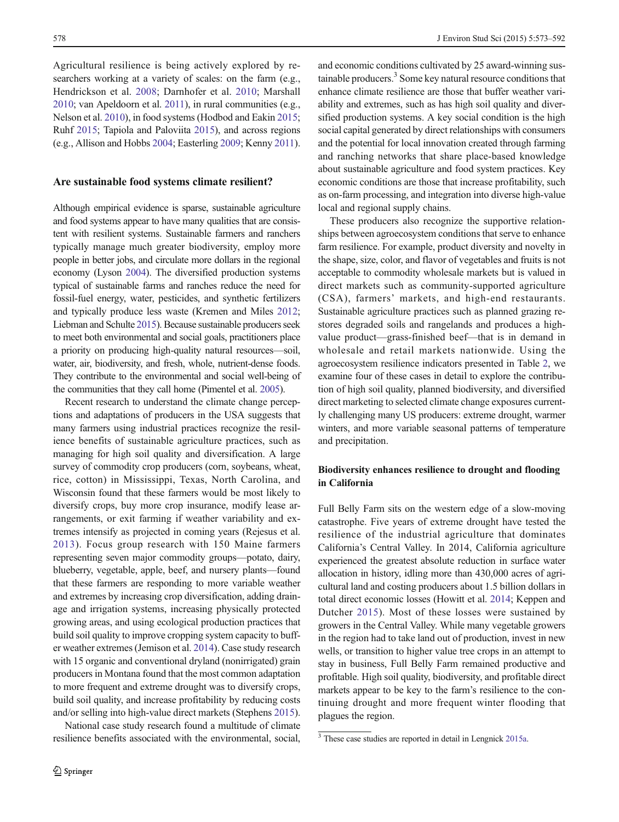Agricultural resilience is being actively explored by researchers working at a variety of scales: on the farm (e.g., Hendrickson et al. [2008;](#page-17-0) Darnhofer et al. [2010](#page-17-0); Marshall [2010;](#page-18-0) van Apeldoorn et al. [2011\)](#page-19-0), in rural communities (e.g., Nelson et al. [2010](#page-18-0)), in food systems (Hodbod and Eakin [2015](#page-17-0); Ruhf [2015;](#page-18-0) Tapiola and Paloviita [2015\)](#page-19-0), and across regions (e.g., Allison and Hobbs [2004](#page-17-0); Easterling [2009;](#page-17-0) Kenny [2011\)](#page-18-0).

#### Are sustainable food systems climate resilient?

Although empirical evidence is sparse, sustainable agriculture and food systems appear to have many qualities that are consistent with resilient systems. Sustainable farmers and ranchers typically manage much greater biodiversity, employ more people in better jobs, and circulate more dollars in the regional economy (Lyson [2004](#page-18-0)). The diversified production systems typical of sustainable farms and ranches reduce the need for fossil-fuel energy, water, pesticides, and synthetic fertilizers and typically produce less waste (Kremen and Miles [2012](#page-18-0); Liebman and Schulte [2015\)](#page-18-0). Because sustainable producers seek to meet both environmental and social goals, practitioners place a priority on producing high-quality natural resources—soil, water, air, biodiversity, and fresh, whole, nutrient-dense foods. They contribute to the environmental and social well-being of the communities that they call home (Pimentel et al. [2005](#page-18-0)).

Recent research to understand the climate change perceptions and adaptations of producers in the USA suggests that many farmers using industrial practices recognize the resilience benefits of sustainable agriculture practices, such as managing for high soil quality and diversification. A large survey of commodity crop producers (corn, soybeans, wheat, rice, cotton) in Mississippi, Texas, North Carolina, and Wisconsin found that these farmers would be most likely to diversify crops, buy more crop insurance, modify lease arrangements, or exit farming if weather variability and extremes intensify as projected in coming years (Rejesus et al. [2013\)](#page-18-0). Focus group research with 150 Maine farmers representing seven major commodity groups—potato, dairy, blueberry, vegetable, apple, beef, and nursery plants—found that these farmers are responding to more variable weather and extremes by increasing crop diversification, adding drainage and irrigation systems, increasing physically protected growing areas, and using ecological production practices that build soil quality to improve cropping system capacity to buffer weather extremes (Jemison et al. [2014\)](#page-17-0). Case study research with 15 organic and conventional dryland (nonirrigated) grain producers in Montana found that the most common adaptation to more frequent and extreme drought was to diversify crops, build soil quality, and increase profitability by reducing costs and/or selling into high-value direct markets (Stephens [2015\)](#page-19-0).

National case study research found a multitude of climate resilience benefits associated with the environmental, social,

and economic conditions cultivated by 25 award-winning sustainable producers.<sup>3</sup> Some key natural resource conditions that enhance climate resilience are those that buffer weather variability and extremes, such as has high soil quality and diversified production systems. A key social condition is the high social capital generated by direct relationships with consumers and the potential for local innovation created through farming and ranching networks that share place-based knowledge about sustainable agriculture and food system practices. Key economic conditions are those that increase profitability, such as on-farm processing, and integration into diverse high-value local and regional supply chains.

These producers also recognize the supportive relationships between agroecosystem conditions that serve to enhance farm resilience. For example, product diversity and novelty in the shape, size, color, and flavor of vegetables and fruits is not acceptable to commodity wholesale markets but is valued in direct markets such as community-supported agriculture (CSA), farmers' markets, and high-end restaurants. Sustainable agriculture practices such as planned grazing restores degraded soils and rangelands and produces a highvalue product—grass-finished beef—that is in demand in wholesale and retail markets nationwide. Using the agroecosystem resilience indicators presented in Table [2](#page-6-0), we examine four of these cases in detail to explore the contribution of high soil quality, planned biodiversity, and diversified direct marketing to selected climate change exposures currently challenging many US producers: extreme drought, warmer winters, and more variable seasonal patterns of temperature and precipitation.

# Biodiversity enhances resilience to drought and flooding in California

Full Belly Farm sits on the western edge of a slow-moving catastrophe. Five years of extreme drought have tested the resilience of the industrial agriculture that dominates California's Central Valley. In 2014, California agriculture experienced the greatest absolute reduction in surface water allocation in history, idling more than 430,000 acres of agricultural land and costing producers about 1.5 billion dollars in total direct economic losses (Howitt et al. [2014](#page-17-0); Keppen and Dutcher [2015](#page-18-0)). Most of these losses were sustained by growers in the Central Valley. While many vegetable growers in the region had to take land out of production, invest in new wells, or transition to higher value tree crops in an attempt to stay in business, Full Belly Farm remained productive and profitable. High soil quality, biodiversity, and profitable direct markets appear to be key to the farm's resilience to the continuing drought and more frequent winter flooding that plagues the region.

<sup>3</sup> These case studies are reported in detail in Lengnick [2015a.](#page-18-0)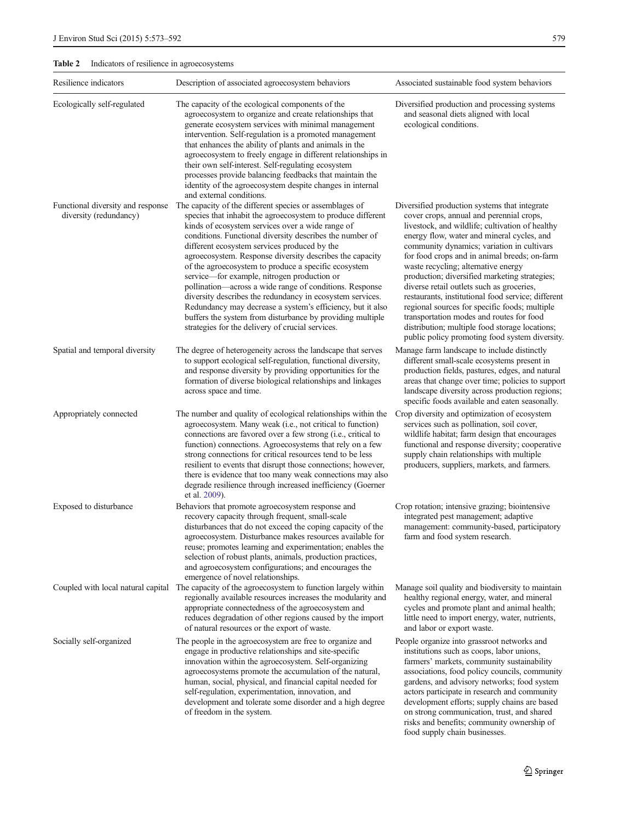# <span id="page-6-0"></span>Table 2 Indicators of resilience in agroecosystems

| Resilience indicators                                       | Description of associated agroecosystem behaviors                                                                                                                                                                                                                                                                                                                                                                                                                                                                                                                                                                                                                                                                                                                | Associated sustainable food system behaviors                                                                                                                                                                                                                                                                                                                                                                                                                                                                                                                                                                                                                                         |
|-------------------------------------------------------------|------------------------------------------------------------------------------------------------------------------------------------------------------------------------------------------------------------------------------------------------------------------------------------------------------------------------------------------------------------------------------------------------------------------------------------------------------------------------------------------------------------------------------------------------------------------------------------------------------------------------------------------------------------------------------------------------------------------------------------------------------------------|--------------------------------------------------------------------------------------------------------------------------------------------------------------------------------------------------------------------------------------------------------------------------------------------------------------------------------------------------------------------------------------------------------------------------------------------------------------------------------------------------------------------------------------------------------------------------------------------------------------------------------------------------------------------------------------|
| Ecologically self-regulated                                 | The capacity of the ecological components of the<br>agroecosystem to organize and create relationships that<br>generate ecosystem services with minimal management<br>intervention. Self-regulation is a promoted management<br>that enhances the ability of plants and animals in the<br>agroecosystem to freely engage in different relationships in<br>their own self-interest. Self-regulating ecosystem<br>processes provide balancing feedbacks that maintain the<br>identity of the agroecosystem despite changes in internal<br>and external conditions.                                                                                                                                                                                                 | Diversified production and processing systems<br>and seasonal diets aligned with local<br>ecological conditions.                                                                                                                                                                                                                                                                                                                                                                                                                                                                                                                                                                     |
| Functional diversity and response<br>diversity (redundancy) | The capacity of the different species or assemblages of<br>species that inhabit the agroecosystem to produce different<br>kinds of ecosystem services over a wide range of<br>conditions. Functional diversity describes the number of<br>different ecosystem services produced by the<br>agroecosystem. Response diversity describes the capacity<br>of the agroecosystem to produce a specific ecosystem<br>service-for example, nitrogen production or<br>pollination—across a wide range of conditions. Response<br>diversity describes the redundancy in ecosystem services.<br>Redundancy may decrease a system's efficiency, but it also<br>buffers the system from disturbance by providing multiple<br>strategies for the delivery of crucial services. | Diversified production systems that integrate<br>cover crops, annual and perennial crops,<br>livestock, and wildlife; cultivation of healthy<br>energy flow, water and mineral cycles, and<br>community dynamics; variation in cultivars<br>for food crops and in animal breeds; on-farm<br>waste recycling; alternative energy<br>production; diversified marketing strategies;<br>diverse retail outlets such as groceries,<br>restaurants, institutional food service; different<br>regional sources for specific foods; multiple<br>transportation modes and routes for food<br>distribution; multiple food storage locations;<br>public policy promoting food system diversity. |
| Spatial and temporal diversity                              | The degree of heterogeneity across the landscape that serves<br>to support ecological self-regulation, functional diversity,<br>and response diversity by providing opportunities for the<br>formation of diverse biological relationships and linkages<br>across space and time.                                                                                                                                                                                                                                                                                                                                                                                                                                                                                | Manage farm landscape to include distinctly<br>different small-scale ecosystems present in<br>production fields, pastures, edges, and natural<br>areas that change over time; policies to support<br>landscape diversity across production regions;<br>specific foods available and eaten seasonally.                                                                                                                                                                                                                                                                                                                                                                                |
| Appropriately connected                                     | The number and quality of ecological relationships within the<br>agroecosystem. Many weak (i.e., not critical to function)<br>connections are favored over a few strong (i.e., critical to<br>function) connections. Agroecosystems that rely on a few<br>strong connections for critical resources tend to be less<br>resilient to events that disrupt those connections; however,<br>there is evidence that too many weak connections may also<br>degrade resilience through increased inefficiency (Goerner<br>et al. 2009).                                                                                                                                                                                                                                  | Crop diversity and optimization of ecosystem<br>services such as pollination, soil cover,<br>wildlife habitat; farm design that encourages<br>functional and response diversity; cooperative<br>supply chain relationships with multiple<br>producers, suppliers, markets, and farmers.                                                                                                                                                                                                                                                                                                                                                                                              |
| Exposed to disturbance                                      | Behaviors that promote agroecosystem response and<br>recovery capacity through frequent, small-scale<br>disturbances that do not exceed the coping capacity of the<br>agroecosystem. Disturbance makes resources available for<br>reuse; promotes learning and experimentation; enables the<br>selection of robust plants, animals, production practices,<br>and agroecosystem configurations; and encourages the<br>emergence of novel relationships.                                                                                                                                                                                                                                                                                                           | Crop rotation; intensive grazing; biointensive<br>integrated pest management; adaptive<br>management: community-based, participatory<br>farm and food system research.                                                                                                                                                                                                                                                                                                                                                                                                                                                                                                               |
|                                                             | Coupled with local natural capital The capacity of the agroecosystem to function largely within<br>regionally available resources increases the modularity and<br>appropriate connectedness of the agroecosystem and<br>reduces degradation of other regions caused by the import<br>of natural resources or the export of waste.                                                                                                                                                                                                                                                                                                                                                                                                                                | Manage soil quality and biodiversity to maintain<br>healthy regional energy, water, and mineral<br>cycles and promote plant and animal health;<br>little need to import energy, water, nutrients,<br>and labor or export waste.                                                                                                                                                                                                                                                                                                                                                                                                                                                      |
| Socially self-organized                                     | The people in the agroecosystem are free to organize and<br>engage in productive relationships and site-specific<br>innovation within the agroecosystem. Self-organizing<br>agroecosystems promote the accumulation of the natural,<br>human, social, physical, and financial capital needed for<br>self-regulation, experimentation, innovation, and<br>development and tolerate some disorder and a high degree<br>of freedom in the system.                                                                                                                                                                                                                                                                                                                   | People organize into grassroot networks and<br>institutions such as coops, labor unions,<br>farmers' markets, community sustainability<br>associations, food policy councils, community<br>gardens, and advisory networks; food system<br>actors participate in research and community<br>development efforts; supply chains are based<br>on strong communication, trust, and shared<br>risks and benefits; community ownership of                                                                                                                                                                                                                                                   |

food supply chain businesses.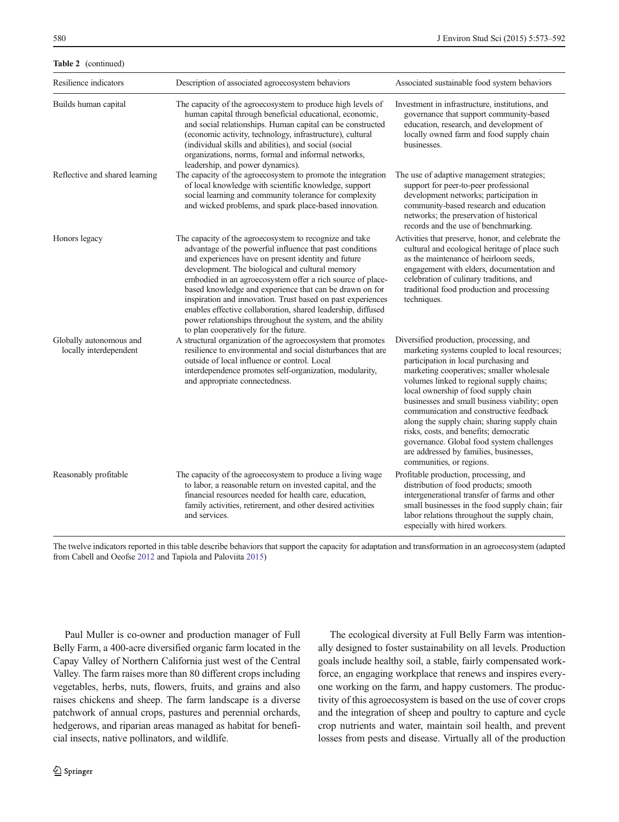| Table 2 (continued)                               |                                                                                                                                                                                                                                                                                                                                                                                                                                                                                                                                                                                              |                                                                                                                                                                                                                                                                                                                                                                                                                                                                                                                                                                              |  |
|---------------------------------------------------|----------------------------------------------------------------------------------------------------------------------------------------------------------------------------------------------------------------------------------------------------------------------------------------------------------------------------------------------------------------------------------------------------------------------------------------------------------------------------------------------------------------------------------------------------------------------------------------------|------------------------------------------------------------------------------------------------------------------------------------------------------------------------------------------------------------------------------------------------------------------------------------------------------------------------------------------------------------------------------------------------------------------------------------------------------------------------------------------------------------------------------------------------------------------------------|--|
| Resilience indicators                             | Description of associated agroecosystem behaviors                                                                                                                                                                                                                                                                                                                                                                                                                                                                                                                                            | Associated sustainable food system behaviors                                                                                                                                                                                                                                                                                                                                                                                                                                                                                                                                 |  |
| Builds human capital                              | The capacity of the agroecosystem to produce high levels of<br>human capital through beneficial educational, economic,<br>and social relationships. Human capital can be constructed<br>(economic activity, technology, infrastructure), cultural<br>(individual skills and abilities), and social (social<br>organizations, norms, formal and informal networks,<br>leadership, and power dynamics).                                                                                                                                                                                        | Investment in infrastructure, institutions, and<br>governance that support community-based<br>education, research, and development of<br>locally owned farm and food supply chain<br>businesses.                                                                                                                                                                                                                                                                                                                                                                             |  |
| Reflective and shared learning                    | The capacity of the agroecosystem to promote the integration<br>of local knowledge with scientific knowledge, support<br>social learning and community tolerance for complexity<br>and wicked problems, and spark place-based innovation.                                                                                                                                                                                                                                                                                                                                                    | The use of adaptive management strategies;<br>support for peer-to-peer professional<br>development networks; participation in<br>community-based research and education<br>networks; the preservation of historical<br>records and the use of benchmarking.                                                                                                                                                                                                                                                                                                                  |  |
| Honors legacy                                     | The capacity of the agroecosystem to recognize and take<br>advantage of the powerful influence that past conditions<br>and experiences have on present identity and future<br>development. The biological and cultural memory<br>embodied in an agroecosystem offer a rich source of place-<br>based knowledge and experience that can be drawn on for<br>inspiration and innovation. Trust based on past experiences<br>enables effective collaboration, shared leadership, diffused<br>power relationships throughout the system, and the ability<br>to plan cooperatively for the future. | Activities that preserve, honor, and celebrate the<br>cultural and ecological heritage of place such<br>as the maintenance of heirloom seeds,<br>engagement with elders, documentation and<br>celebration of culinary traditions, and<br>traditional food production and processing<br>techniques.                                                                                                                                                                                                                                                                           |  |
| Globally autonomous and<br>locally interdependent | A structural organization of the agroecosystem that promotes<br>resilience to environmental and social disturbances that are<br>outside of local influence or control. Local<br>interdependence promotes self-organization, modularity,<br>and appropriate connectedness.                                                                                                                                                                                                                                                                                                                    | Diversified production, processing, and<br>marketing systems coupled to local resources;<br>participation in local purchasing and<br>marketing cooperatives; smaller wholesale<br>volumes linked to regional supply chains;<br>local ownership of food supply chain<br>businesses and small business viability; open<br>communication and constructive feedback<br>along the supply chain; sharing supply chain<br>risks, costs, and benefits; democratic<br>governance. Global food system challenges<br>are addressed by families, businesses,<br>communities, or regions. |  |
| Reasonably profitable                             | The capacity of the agroecosystem to produce a living wage<br>to labor, a reasonable return on invested capital, and the<br>financial resources needed for health care, education,<br>family activities, retirement, and other desired activities<br>and services.                                                                                                                                                                                                                                                                                                                           | Profitable production, processing, and<br>distribution of food products; smooth<br>intergenerational transfer of farms and other<br>small businesses in the food supply chain; fair<br>labor relations throughout the supply chain,<br>especially with hired workers.                                                                                                                                                                                                                                                                                                        |  |

The twelve indicators reported in this table describe behaviors that support the capacity for adaptation and transformation in an agroecosystem (adapted from Cabell and Oeofse [2012](#page-17-0) and Tapiola and Paloviita [2015\)](#page-19-0)

Paul Muller is co-owner and production manager of Full Belly Farm, a 400-acre diversified organic farm located in the Capay Valley of Northern California just west of the Central Valley. The farm raises more than 80 different crops including vegetables, herbs, nuts, flowers, fruits, and grains and also raises chickens and sheep. The farm landscape is a diverse patchwork of annual crops, pastures and perennial orchards, hedgerows, and riparian areas managed as habitat for beneficial insects, native pollinators, and wildlife.

The ecological diversity at Full Belly Farm was intentionally designed to foster sustainability on all levels. Production goals include healthy soil, a stable, fairly compensated workforce, an engaging workplace that renews and inspires everyone working on the farm, and happy customers. The productivity of this agroecosystem is based on the use of cover crops and the integration of sheep and poultry to capture and cycle crop nutrients and water, maintain soil health, and prevent losses from pests and disease. Virtually all of the production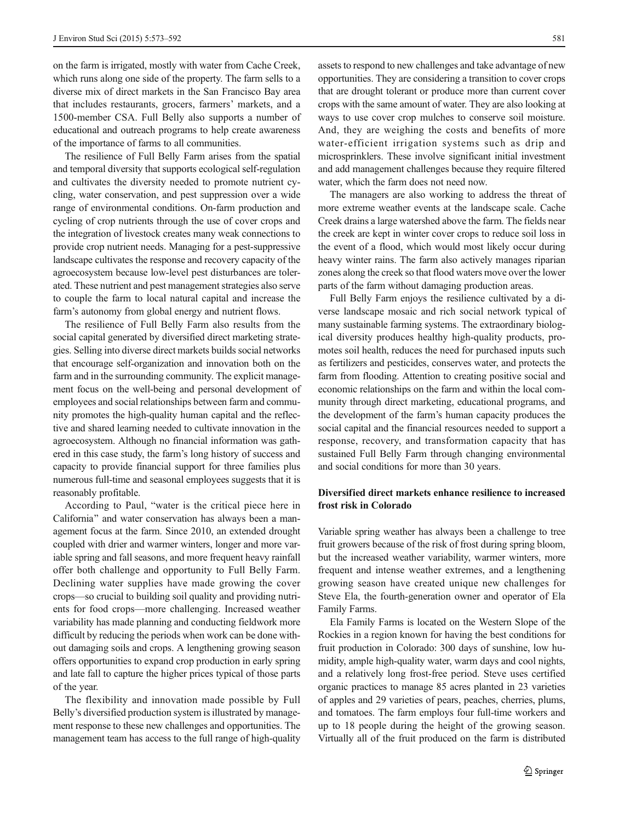on the farm is irrigated, mostly with water from Cache Creek, which runs along one side of the property. The farm sells to a diverse mix of direct markets in the San Francisco Bay area that includes restaurants, grocers, farmers' markets, and a 1500-member CSA. Full Belly also supports a number of educational and outreach programs to help create awareness of the importance of farms to all communities.

The resilience of Full Belly Farm arises from the spatial and temporal diversity that supports ecological self-regulation and cultivates the diversity needed to promote nutrient cycling, water conservation, and pest suppression over a wide range of environmental conditions. On-farm production and cycling of crop nutrients through the use of cover crops and the integration of livestock creates many weak connections to provide crop nutrient needs. Managing for a pest-suppressive landscape cultivates the response and recovery capacity of the agroecosystem because low-level pest disturbances are tolerated. These nutrient and pest management strategies also serve to couple the farm to local natural capital and increase the farm's autonomy from global energy and nutrient flows.

The resilience of Full Belly Farm also results from the social capital generated by diversified direct marketing strategies. Selling into diverse direct markets builds social networks that encourage self-organization and innovation both on the farm and in the surrounding community. The explicit management focus on the well-being and personal development of employees and social relationships between farm and community promotes the high-quality human capital and the reflective and shared learning needed to cultivate innovation in the agroecosystem. Although no financial information was gathered in this case study, the farm's long history of success and capacity to provide financial support for three families plus numerous full-time and seasonal employees suggests that it is reasonably profitable.

According to Paul, "water is the critical piece here in California" and water conservation has always been a management focus at the farm. Since 2010, an extended drought coupled with drier and warmer winters, longer and more variable spring and fall seasons, and more frequent heavy rainfall offer both challenge and opportunity to Full Belly Farm. Declining water supplies have made growing the cover crops—so crucial to building soil quality and providing nutrients for food crops—more challenging. Increased weather variability has made planning and conducting fieldwork more difficult by reducing the periods when work can be done without damaging soils and crops. A lengthening growing season offers opportunities to expand crop production in early spring and late fall to capture the higher prices typical of those parts of the year.

The flexibility and innovation made possible by Full Belly's diversified production system is illustrated by management response to these new challenges and opportunities. The management team has access to the full range of high-quality

assets to respond to new challenges and take advantage of new opportunities. They are considering a transition to cover crops that are drought tolerant or produce more than current cover crops with the same amount of water. They are also looking at ways to use cover crop mulches to conserve soil moisture. And, they are weighing the costs and benefits of more water-efficient irrigation systems such as drip and microsprinklers. These involve significant initial investment and add management challenges because they require filtered water, which the farm does not need now.

The managers are also working to address the threat of more extreme weather events at the landscape scale. Cache Creek drains a large watershed above the farm. The fields near the creek are kept in winter cover crops to reduce soil loss in the event of a flood, which would most likely occur during heavy winter rains. The farm also actively manages riparian zones along the creek so that flood waters move over the lower parts of the farm without damaging production areas.

Full Belly Farm enjoys the resilience cultivated by a diverse landscape mosaic and rich social network typical of many sustainable farming systems. The extraordinary biological diversity produces healthy high-quality products, promotes soil health, reduces the need for purchased inputs such as fertilizers and pesticides, conserves water, and protects the farm from flooding. Attention to creating positive social and economic relationships on the farm and within the local community through direct marketing, educational programs, and the development of the farm's human capacity produces the social capital and the financial resources needed to support a response, recovery, and transformation capacity that has sustained Full Belly Farm through changing environmental and social conditions for more than 30 years.

# Diversified direct markets enhance resilience to increased frost risk in Colorado

Variable spring weather has always been a challenge to tree fruit growers because of the risk of frost during spring bloom, but the increased weather variability, warmer winters, more frequent and intense weather extremes, and a lengthening growing season have created unique new challenges for Steve Ela, the fourth-generation owner and operator of Ela Family Farms.

Ela Family Farms is located on the Western Slope of the Rockies in a region known for having the best conditions for fruit production in Colorado: 300 days of sunshine, low humidity, ample high-quality water, warm days and cool nights, and a relatively long frost-free period. Steve uses certified organic practices to manage 85 acres planted in 23 varieties of apples and 29 varieties of pears, peaches, cherries, plums, and tomatoes. The farm employs four full-time workers and up to 18 people during the height of the growing season. Virtually all of the fruit produced on the farm is distributed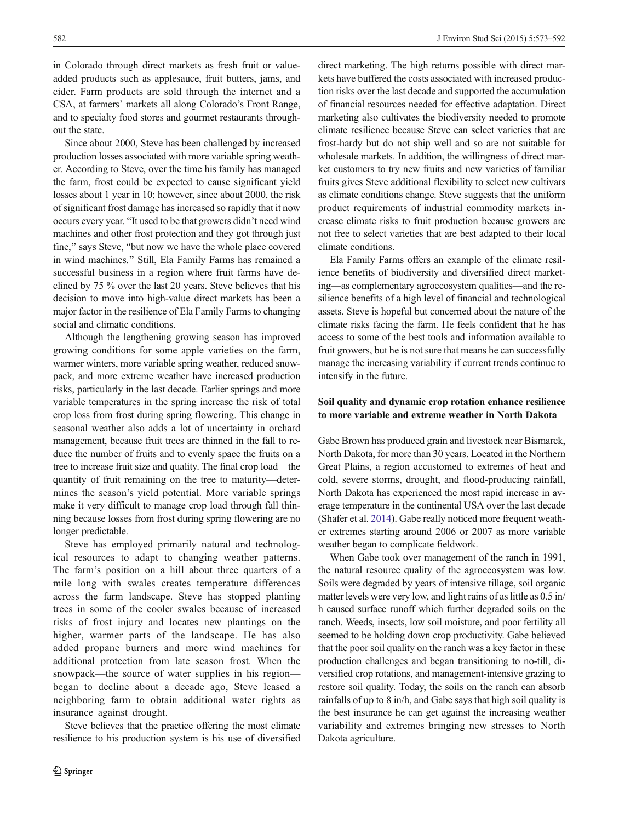in Colorado through direct markets as fresh fruit or valueadded products such as applesauce, fruit butters, jams, and cider. Farm products are sold through the internet and a CSA, at farmers' markets all along Colorado's Front Range, and to specialty food stores and gourmet restaurants throughout the state.

Since about 2000, Steve has been challenged by increased production losses associated with more variable spring weather. According to Steve, over the time his family has managed the farm, frost could be expected to cause significant yield losses about 1 year in 10; however, since about 2000, the risk of significant frost damage has increased so rapidly that it now occurs every year. "It used to be that growers didn't need wind machines and other frost protection and they got through just fine," says Steve, "but now we have the whole place covered in wind machines." Still, Ela Family Farms has remained a successful business in a region where fruit farms have declined by 75 % over the last 20 years. Steve believes that his decision to move into high-value direct markets has been a major factor in the resilience of Ela Family Farms to changing social and climatic conditions.

Although the lengthening growing season has improved growing conditions for some apple varieties on the farm, warmer winters, more variable spring weather, reduced snowpack, and more extreme weather have increased production risks, particularly in the last decade. Earlier springs and more variable temperatures in the spring increase the risk of total crop loss from frost during spring flowering. This change in seasonal weather also adds a lot of uncertainty in orchard management, because fruit trees are thinned in the fall to reduce the number of fruits and to evenly space the fruits on a tree to increase fruit size and quality. The final crop load—the quantity of fruit remaining on the tree to maturity—determines the season's yield potential. More variable springs make it very difficult to manage crop load through fall thinning because losses from frost during spring flowering are no longer predictable.

Steve has employed primarily natural and technological resources to adapt to changing weather patterns. The farm's position on a hill about three quarters of a mile long with swales creates temperature differences across the farm landscape. Steve has stopped planting trees in some of the cooler swales because of increased risks of frost injury and locates new plantings on the higher, warmer parts of the landscape. He has also added propane burners and more wind machines for additional protection from late season frost. When the snowpack—the source of water supplies in his region began to decline about a decade ago, Steve leased a neighboring farm to obtain additional water rights as insurance against drought.

Steve believes that the practice offering the most climate resilience to his production system is his use of diversified direct marketing. The high returns possible with direct markets have buffered the costs associated with increased production risks over the last decade and supported the accumulation of financial resources needed for effective adaptation. Direct marketing also cultivates the biodiversity needed to promote climate resilience because Steve can select varieties that are frost-hardy but do not ship well and so are not suitable for wholesale markets. In addition, the willingness of direct market customers to try new fruits and new varieties of familiar fruits gives Steve additional flexibility to select new cultivars as climate conditions change. Steve suggests that the uniform product requirements of industrial commodity markets increase climate risks to fruit production because growers are not free to select varieties that are best adapted to their local climate conditions.

Ela Family Farms offers an example of the climate resilience benefits of biodiversity and diversified direct marketing—as complementary agroecosystem qualities—and the resilience benefits of a high level of financial and technological assets. Steve is hopeful but concerned about the nature of the climate risks facing the farm. He feels confident that he has access to some of the best tools and information available to fruit growers, but he is not sure that means he can successfully manage the increasing variability if current trends continue to intensify in the future.

# Soil quality and dynamic crop rotation enhance resilience to more variable and extreme weather in North Dakota

Gabe Brown has produced grain and livestock near Bismarck, North Dakota, for more than 30 years. Located in the Northern Great Plains, a region accustomed to extremes of heat and cold, severe storms, drought, and flood-producing rainfall, North Dakota has experienced the most rapid increase in average temperature in the continental USA over the last decade (Shafer et al. [2014\)](#page-18-0). Gabe really noticed more frequent weather extremes starting around 2006 or 2007 as more variable weather began to complicate fieldwork.

When Gabe took over management of the ranch in 1991, the natural resource quality of the agroecosystem was low. Soils were degraded by years of intensive tillage, soil organic matter levels were very low, and light rains of as little as 0.5 in/ h caused surface runoff which further degraded soils on the ranch. Weeds, insects, low soil moisture, and poor fertility all seemed to be holding down crop productivity. Gabe believed that the poor soil quality on the ranch was a key factor in these production challenges and began transitioning to no-till, diversified crop rotations, and management-intensive grazing to restore soil quality. Today, the soils on the ranch can absorb rainfalls of up to 8 in/h, and Gabe says that high soil quality is the best insurance he can get against the increasing weather variability and extremes bringing new stresses to North Dakota agriculture.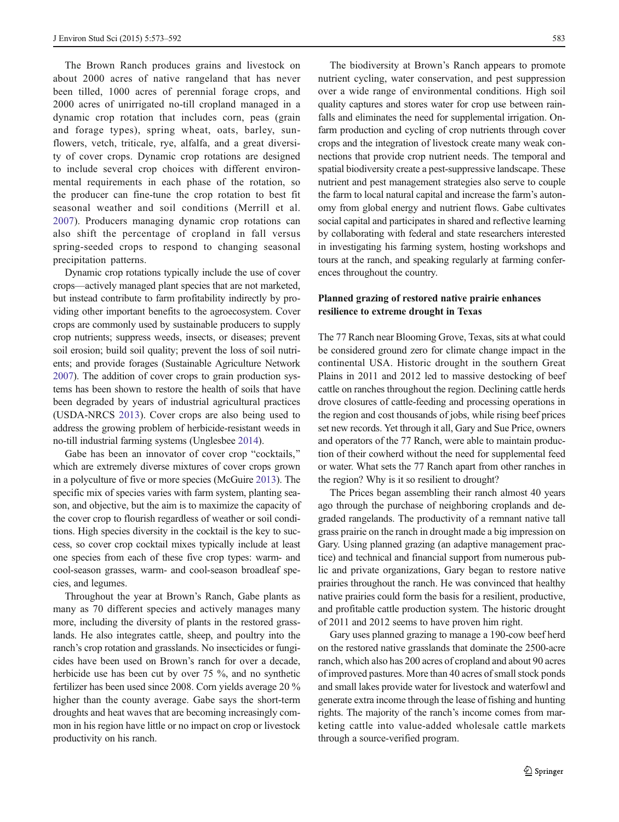The Brown Ranch produces grains and livestock on about 2000 acres of native rangeland that has never been tilled, 1000 acres of perennial forage crops, and 2000 acres of unirrigated no-till cropland managed in a dynamic crop rotation that includes corn, peas (grain and forage types), spring wheat, oats, barley, sunflowers, vetch, triticale, rye, alfalfa, and a great diversity of cover crops. Dynamic crop rotations are designed to include several crop choices with different environmental requirements in each phase of the rotation, so the producer can fine-tune the crop rotation to best fit seasonal weather and soil conditions (Merrill et al. [2007](#page-18-0)). Producers managing dynamic crop rotations can also shift the percentage of cropland in fall versus spring-seeded crops to respond to changing seasonal precipitation patterns.

Dynamic crop rotations typically include the use of cover crops—actively managed plant species that are not marketed, but instead contribute to farm profitability indirectly by providing other important benefits to the agroecosystem. Cover crops are commonly used by sustainable producers to supply crop nutrients; suppress weeds, insects, or diseases; prevent soil erosion; build soil quality; prevent the loss of soil nutrients; and provide forages (Sustainable Agriculture Network [2007\)](#page-19-0). The addition of cover crops to grain production systems has been shown to restore the health of soils that have been degraded by years of industrial agricultural practices (USDA-NRCS [2013\)](#page-19-0). Cover crops are also being used to address the growing problem of herbicide-resistant weeds in no-till industrial farming systems (Unglesbee [2014\)](#page-19-0).

Gabe has been an innovator of cover crop "cocktails," which are extremely diverse mixtures of cover crops grown in a polyculture of five or more species (McGuire [2013\)](#page-18-0). The specific mix of species varies with farm system, planting season, and objective, but the aim is to maximize the capacity of the cover crop to flourish regardless of weather or soil conditions. High species diversity in the cocktail is the key to success, so cover crop cocktail mixes typically include at least one species from each of these five crop types: warm- and cool-season grasses, warm- and cool-season broadleaf species, and legumes.

Throughout the year at Brown's Ranch, Gabe plants as many as 70 different species and actively manages many more, including the diversity of plants in the restored grasslands. He also integrates cattle, sheep, and poultry into the ranch's crop rotation and grasslands. No insecticides or fungicides have been used on Brown's ranch for over a decade, herbicide use has been cut by over 75 %, and no synthetic fertilizer has been used since 2008. Corn yields average 20 % higher than the county average. Gabe says the short-term droughts and heat waves that are becoming increasingly common in his region have little or no impact on crop or livestock productivity on his ranch.

The biodiversity at Brown's Ranch appears to promote nutrient cycling, water conservation, and pest suppression over a wide range of environmental conditions. High soil quality captures and stores water for crop use between rainfalls and eliminates the need for supplemental irrigation. Onfarm production and cycling of crop nutrients through cover crops and the integration of livestock create many weak connections that provide crop nutrient needs. The temporal and spatial biodiversity create a pest-suppressive landscape. These nutrient and pest management strategies also serve to couple the farm to local natural capital and increase the farm's autonomy from global energy and nutrient flows. Gabe cultivates social capital and participates in shared and reflective learning by collaborating with federal and state researchers interested in investigating his farming system, hosting workshops and tours at the ranch, and speaking regularly at farming conferences throughout the country.

# Planned grazing of restored native prairie enhances resilience to extreme drought in Texas

The 77 Ranch near Blooming Grove, Texas, sits at what could be considered ground zero for climate change impact in the continental USA. Historic drought in the southern Great Plains in 2011 and 2012 led to massive destocking of beef cattle on ranches throughout the region. Declining cattle herds drove closures of cattle-feeding and processing operations in the region and cost thousands of jobs, while rising beef prices set new records. Yet through it all, Gary and Sue Price, owners and operators of the 77 Ranch, were able to maintain production of their cowherd without the need for supplemental feed or water. What sets the 77 Ranch apart from other ranches in the region? Why is it so resilient to drought?

The Prices began assembling their ranch almost 40 years ago through the purchase of neighboring croplands and degraded rangelands. The productivity of a remnant native tall grass prairie on the ranch in drought made a big impression on Gary. Using planned grazing (an adaptive management practice) and technical and financial support from numerous public and private organizations, Gary began to restore native prairies throughout the ranch. He was convinced that healthy native prairies could form the basis for a resilient, productive, and profitable cattle production system. The historic drought of 2011 and 2012 seems to have proven him right.

Gary uses planned grazing to manage a 190-cow beef herd on the restored native grasslands that dominate the 2500-acre ranch, which also has 200 acres of cropland and about 90 acres of improved pastures. More than 40 acres of small stock ponds and small lakes provide water for livestock and waterfowl and generate extra income through the lease of fishing and hunting rights. The majority of the ranch's income comes from marketing cattle into value-added wholesale cattle markets through a source-verified program.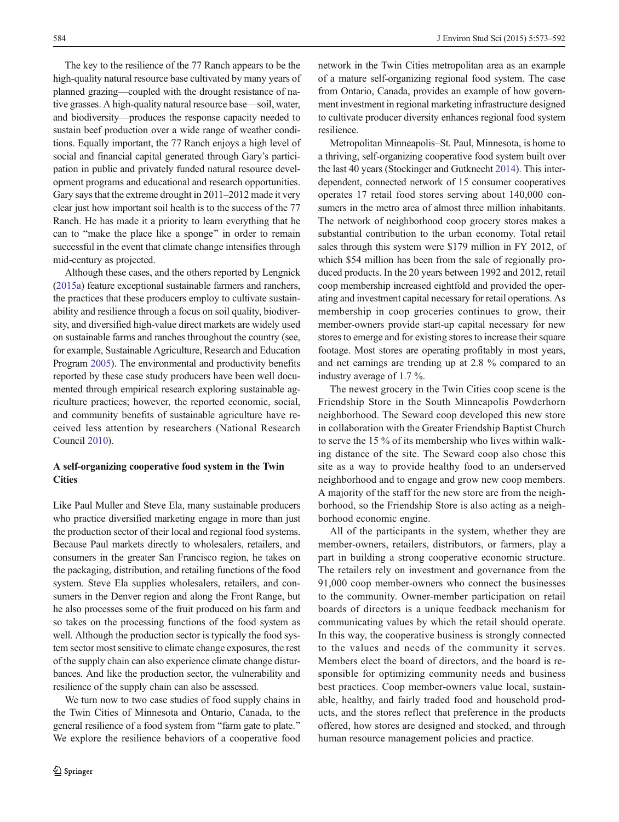The key to the resilience of the 77 Ranch appears to be the high-quality natural resource base cultivated by many years of planned grazing—coupled with the drought resistance of native grasses. A high-quality natural resource base—soil, water, and biodiversity—produces the response capacity needed to sustain beef production over a wide range of weather conditions. Equally important, the 77 Ranch enjoys a high level of social and financial capital generated through Gary's participation in public and privately funded natural resource development programs and educational and research opportunities. Gary says that the extreme drought in 2011–2012 made it very clear just how important soil health is to the success of the 77 Ranch. He has made it a priority to learn everything that he can to "make the place like a sponge" in order to remain successful in the event that climate change intensifies through mid-century as projected.

Although these cases, and the others reported by Lengnick [\(2015a\)](#page-18-0) feature exceptional sustainable farmers and ranchers, the practices that these producers employ to cultivate sustainability and resilience through a focus on soil quality, biodiversity, and diversified high-value direct markets are widely used on sustainable farms and ranches throughout the country (see, for example, Sustainable Agriculture, Research and Education Program [2005\)](#page-18-0). The environmental and productivity benefits reported by these case study producers have been well documented through empirical research exploring sustainable agriculture practices; however, the reported economic, social, and community benefits of sustainable agriculture have received less attention by researchers (National Research Council [2010\)](#page-18-0).

# A self-organizing cooperative food system in the Twin **Cities**

Like Paul Muller and Steve Ela, many sustainable producers who practice diversified marketing engage in more than just the production sector of their local and regional food systems. Because Paul markets directly to wholesalers, retailers, and consumers in the greater San Francisco region, he takes on the packaging, distribution, and retailing functions of the food system. Steve Ela supplies wholesalers, retailers, and consumers in the Denver region and along the Front Range, but he also processes some of the fruit produced on his farm and so takes on the processing functions of the food system as well. Although the production sector is typically the food system sector most sensitive to climate change exposures, the rest of the supply chain can also experience climate change disturbances. And like the production sector, the vulnerability and resilience of the supply chain can also be assessed.

We turn now to two case studies of food supply chains in the Twin Cities of Minnesota and Ontario, Canada, to the general resilience of a food system from "farm gate to plate." We explore the resilience behaviors of a cooperative food network in the Twin Cities metropolitan area as an example of a mature self-organizing regional food system. The case from Ontario, Canada, provides an example of how government investment in regional marketing infrastructure designed to cultivate producer diversity enhances regional food system resilience.

Metropolitan Minneapolis–St. Paul, Minnesota, is home to a thriving, self-organizing cooperative food system built over the last 40 years (Stockinger and Gutknecht [2014](#page-19-0)). This interdependent, connected network of 15 consumer cooperatives operates 17 retail food stores serving about 140,000 consumers in the metro area of almost three million inhabitants. The network of neighborhood coop grocery stores makes a substantial contribution to the urban economy. Total retail sales through this system were \$179 million in FY 2012, of which \$54 million has been from the sale of regionally produced products. In the 20 years between 1992 and 2012, retail coop membership increased eightfold and provided the operating and investment capital necessary for retail operations. As membership in coop groceries continues to grow, their member-owners provide start-up capital necessary for new stores to emerge and for existing stores to increase their square footage. Most stores are operating profitably in most years, and net earnings are trending up at 2.8 % compared to an industry average of 1.7 %.

The newest grocery in the Twin Cities coop scene is the Friendship Store in the South Minneapolis Powderhorn neighborhood. The Seward coop developed this new store in collaboration with the Greater Friendship Baptist Church to serve the 15 % of its membership who lives within walking distance of the site. The Seward coop also chose this site as a way to provide healthy food to an underserved neighborhood and to engage and grow new coop members. A majority of the staff for the new store are from the neighborhood, so the Friendship Store is also acting as a neighborhood economic engine.

All of the participants in the system, whether they are member-owners, retailers, distributors, or farmers, play a part in building a strong cooperative economic structure. The retailers rely on investment and governance from the 91,000 coop member-owners who connect the businesses to the community. Owner-member participation on retail boards of directors is a unique feedback mechanism for communicating values by which the retail should operate. In this way, the cooperative business is strongly connected to the values and needs of the community it serves. Members elect the board of directors, and the board is responsible for optimizing community needs and business best practices. Coop member-owners value local, sustainable, healthy, and fairly traded food and household products, and the stores reflect that preference in the products offered, how stores are designed and stocked, and through human resource management policies and practice.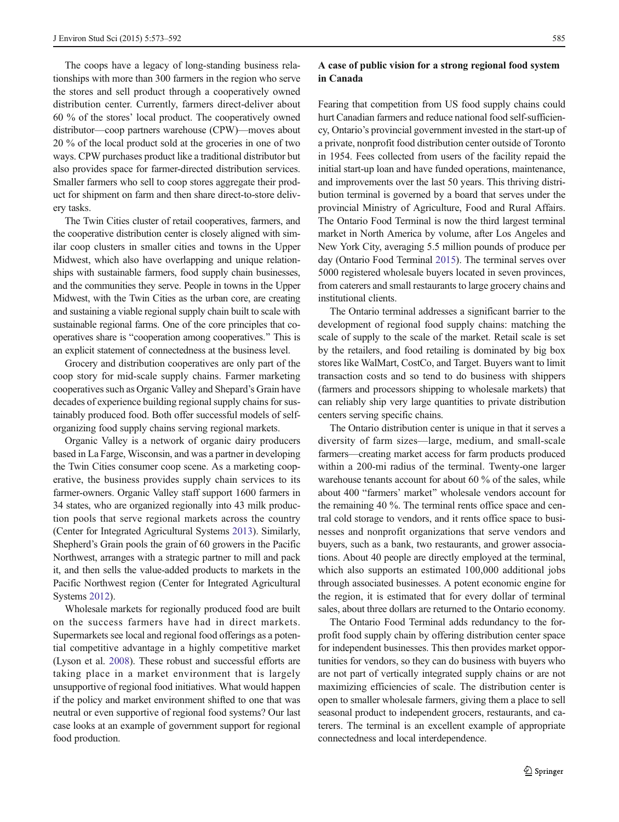The coops have a legacy of long-standing business relationships with more than 300 farmers in the region who serve the stores and sell product through a cooperatively owned distribution center. Currently, farmers direct-deliver about 60 % of the stores' local product. The cooperatively owned distributor—coop partners warehouse (CPW)—moves about 20 % of the local product sold at the groceries in one of two ways. CPW purchases product like a traditional distributor but also provides space for farmer-directed distribution services. Smaller farmers who sell to coop stores aggregate their product for shipment on farm and then share direct-to-store delivery tasks.

The Twin Cities cluster of retail cooperatives, farmers, and the cooperative distribution center is closely aligned with similar coop clusters in smaller cities and towns in the Upper Midwest, which also have overlapping and unique relationships with sustainable farmers, food supply chain businesses, and the communities they serve. People in towns in the Upper Midwest, with the Twin Cities as the urban core, are creating and sustaining a viable regional supply chain built to scale with sustainable regional farms. One of the core principles that cooperatives share is "cooperation among cooperatives." This is an explicit statement of connectedness at the business level.

Grocery and distribution cooperatives are only part of the coop story for mid-scale supply chains. Farmer marketing cooperatives such as Organic Valley and Shepard's Grain have decades of experience building regional supply chains for sustainably produced food. Both offer successful models of selforganizing food supply chains serving regional markets.

Organic Valley is a network of organic dairy producers based in La Farge, Wisconsin, and was a partner in developing the Twin Cities consumer coop scene. As a marketing cooperative, the business provides supply chain services to its farmer-owners. Organic Valley staff support 1600 farmers in 34 states, who are organized regionally into 43 milk production pools that serve regional markets across the country (Center for Integrated Agricultural Systems [2013](#page-17-0)). Similarly, Shepherd's Grain pools the grain of 60 growers in the Pacific Northwest, arranges with a strategic partner to mill and pack it, and then sells the value-added products to markets in the Pacific Northwest region (Center for Integrated Agricultural Systems [2012\)](#page-17-0).

Wholesale markets for regionally produced food are built on the success farmers have had in direct markets. Supermarkets see local and regional food offerings as a potential competitive advantage in a highly competitive market (Lyson et al. [2008\)](#page-18-0). These robust and successful efforts are taking place in a market environment that is largely unsupportive of regional food initiatives. What would happen if the policy and market environment shifted to one that was neutral or even supportive of regional food systems? Our last case looks at an example of government support for regional food production.

# A case of public vision for a strong regional food system in Canada

Fearing that competition from US food supply chains could hurt Canadian farmers and reduce national food self-sufficiency, Ontario's provincial government invested in the start-up of a private, nonprofit food distribution center outside of Toronto in 1954. Fees collected from users of the facility repaid the initial start-up loan and have funded operations, maintenance, and improvements over the last 50 years. This thriving distribution terminal is governed by a board that serves under the provincial Ministry of Agriculture, Food and Rural Affairs. The Ontario Food Terminal is now the third largest terminal market in North America by volume, after Los Angeles and New York City, averaging 5.5 million pounds of produce per day (Ontario Food Terminal [2015\)](#page-18-0). The terminal serves over 5000 registered wholesale buyers located in seven provinces, from caterers and small restaurants to large grocery chains and institutional clients.

The Ontario terminal addresses a significant barrier to the development of regional food supply chains: matching the scale of supply to the scale of the market. Retail scale is set by the retailers, and food retailing is dominated by big box stores like WalMart, CostCo, and Target. Buyers want to limit transaction costs and so tend to do business with shippers (farmers and processors shipping to wholesale markets) that can reliably ship very large quantities to private distribution centers serving specific chains.

The Ontario distribution center is unique in that it serves a diversity of farm sizes—large, medium, and small-scale farmers—creating market access for farm products produced within a 200-mi radius of the terminal. Twenty-one larger warehouse tenants account for about 60 % of the sales, while about 400 "farmers' market" wholesale vendors account for the remaining 40 %. The terminal rents office space and central cold storage to vendors, and it rents office space to businesses and nonprofit organizations that serve vendors and buyers, such as a bank, two restaurants, and grower associations. About 40 people are directly employed at the terminal, which also supports an estimated 100,000 additional jobs through associated businesses. A potent economic engine for the region, it is estimated that for every dollar of terminal sales, about three dollars are returned to the Ontario economy.

The Ontario Food Terminal adds redundancy to the forprofit food supply chain by offering distribution center space for independent businesses. This then provides market opportunities for vendors, so they can do business with buyers who are not part of vertically integrated supply chains or are not maximizing efficiencies of scale. The distribution center is open to smaller wholesale farmers, giving them a place to sell seasonal product to independent grocers, restaurants, and caterers. The terminal is an excellent example of appropriate connectedness and local interdependence.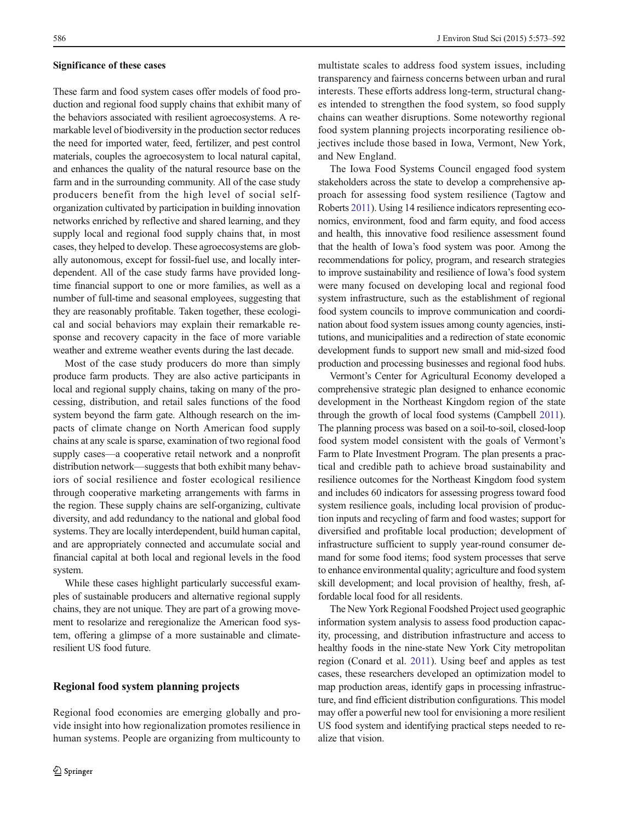#### Significance of these cases

These farm and food system cases offer models of food production and regional food supply chains that exhibit many of the behaviors associated with resilient agroecosystems. A remarkable level of biodiversity in the production sector reduces the need for imported water, feed, fertilizer, and pest control materials, couples the agroecosystem to local natural capital, and enhances the quality of the natural resource base on the farm and in the surrounding community. All of the case study producers benefit from the high level of social selforganization cultivated by participation in building innovation networks enriched by reflective and shared learning, and they supply local and regional food supply chains that, in most cases, they helped to develop. These agroecosystems are globally autonomous, except for fossil-fuel use, and locally interdependent. All of the case study farms have provided longtime financial support to one or more families, as well as a number of full-time and seasonal employees, suggesting that they are reasonably profitable. Taken together, these ecological and social behaviors may explain their remarkable response and recovery capacity in the face of more variable weather and extreme weather events during the last decade.

Most of the case study producers do more than simply produce farm products. They are also active participants in local and regional supply chains, taking on many of the processing, distribution, and retail sales functions of the food system beyond the farm gate. Although research on the impacts of climate change on North American food supply chains at any scale is sparse, examination of two regional food supply cases—a cooperative retail network and a nonprofit distribution network—suggests that both exhibit many behaviors of social resilience and foster ecological resilience through cooperative marketing arrangements with farms in the region. These supply chains are self-organizing, cultivate diversity, and add redundancy to the national and global food systems. They are locally interdependent, build human capital, and are appropriately connected and accumulate social and financial capital at both local and regional levels in the food system.

While these cases highlight particularly successful examples of sustainable producers and alternative regional supply chains, they are not unique. They are part of a growing movement to resolarize and reregionalize the American food system, offering a glimpse of a more sustainable and climateresilient US food future.

#### Regional food system planning projects

Regional food economies are emerging globally and provide insight into how regionalization promotes resilience in human systems. People are organizing from multicounty to

multistate scales to address food system issues, including transparency and fairness concerns between urban and rural interests. These efforts address long-term, structural changes intended to strengthen the food system, so food supply chains can weather disruptions. Some noteworthy regional food system planning projects incorporating resilience objectives include those based in Iowa, Vermont, New York, and New England.

The Iowa Food Systems Council engaged food system stakeholders across the state to develop a comprehensive approach for assessing food system resilience (Tagtow and Roberts [2011\)](#page-19-0). Using 14 resilience indicators representing economics, environment, food and farm equity, and food access and health, this innovative food resilience assessment found that the health of Iowa's food system was poor. Among the recommendations for policy, program, and research strategies to improve sustainability and resilience of Iowa's food system were many focused on developing local and regional food system infrastructure, such as the establishment of regional food system councils to improve communication and coordination about food system issues among county agencies, institutions, and municipalities and a redirection of state economic development funds to support new small and mid-sized food production and processing businesses and regional food hubs.

Vermont's Center for Agricultural Economy developed a comprehensive strategic plan designed to enhance economic development in the Northeast Kingdom region of the state through the growth of local food systems (Campbell [2011\)](#page-17-0). The planning process was based on a soil-to-soil, closed-loop food system model consistent with the goals of Vermont's Farm to Plate Investment Program. The plan presents a practical and credible path to achieve broad sustainability and resilience outcomes for the Northeast Kingdom food system and includes 60 indicators for assessing progress toward food system resilience goals, including local provision of production inputs and recycling of farm and food wastes; support for diversified and profitable local production; development of infrastructure sufficient to supply year-round consumer demand for some food items; food system processes that serve to enhance environmental quality; agriculture and food system skill development; and local provision of healthy, fresh, affordable local food for all residents.

The New York Regional Foodshed Project used geographic information system analysis to assess food production capacity, processing, and distribution infrastructure and access to healthy foods in the nine-state New York City metropolitan region (Conard et al. [2011\)](#page-17-0). Using beef and apples as test cases, these researchers developed an optimization model to map production areas, identify gaps in processing infrastructure, and find efficient distribution configurations. This model may offer a powerful new tool for envisioning a more resilient US food system and identifying practical steps needed to realize that vision.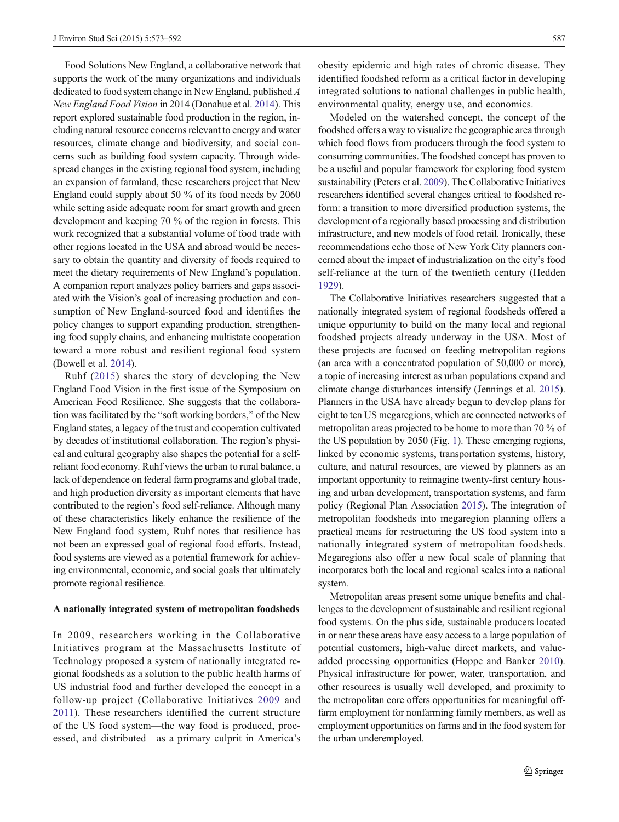Food Solutions New England, a collaborative network that supports the work of the many organizations and individuals dedicated to food system change in New England, published A New England Food Vision in 2014 (Donahue et al. [2014](#page-17-0)). This report explored sustainable food production in the region, including natural resource concerns relevant to energy and water resources, climate change and biodiversity, and social concerns such as building food system capacity. Through widespread changes in the existing regional food system, including an expansion of farmland, these researchers project that New England could supply about 50 % of its food needs by 2060 while setting aside adequate room for smart growth and green development and keeping 70 % of the region in forests. This work recognized that a substantial volume of food trade with other regions located in the USA and abroad would be necessary to obtain the quantity and diversity of foods required to meet the dietary requirements of New England's population. A companion report analyzes policy barriers and gaps associated with the Vision's goal of increasing production and consumption of New England-sourced food and identifies the policy changes to support expanding production, strengthening food supply chains, and enhancing multistate cooperation toward a more robust and resilient regional food system (Bowell et al. [2014\)](#page-17-0).

Ruhf ([2015](#page-18-0)) shares the story of developing the New England Food Vision in the first issue of the Symposium on American Food Resilience. She suggests that the collaboration was facilitated by the "soft working borders," of the New England states, a legacy of the trust and cooperation cultivated by decades of institutional collaboration. The region's physical and cultural geography also shapes the potential for a selfreliant food economy. Ruhf views the urban to rural balance, a lack of dependence on federal farm programs and global trade, and high production diversity as important elements that have contributed to the region's food self-reliance. Although many of these characteristics likely enhance the resilience of the New England food system, Ruhf notes that resilience has not been an expressed goal of regional food efforts. Instead, food systems are viewed as a potential framework for achieving environmental, economic, and social goals that ultimately promote regional resilience.

#### A nationally integrated system of metropolitan foodsheds

In 2009, researchers working in the Collaborative Initiatives program at the Massachusetts Institute of Technology proposed a system of nationally integrated regional foodsheds as a solution to the public health harms of US industrial food and further developed the concept in a follow-up project (Collaborative Initiatives [2009](#page-17-0) and [2011](#page-17-0)). These researchers identified the current structure of the US food system—the way food is produced, processed, and distributed—as a primary culprit in America's

obesity epidemic and high rates of chronic disease. They identified foodshed reform as a critical factor in developing integrated solutions to national challenges in public health, environmental quality, energy use, and economics.

Modeled on the watershed concept, the concept of the foodshed offers a way to visualize the geographic area through which food flows from producers through the food system to consuming communities. The foodshed concept has proven to be a useful and popular framework for exploring food system sustainability (Peters et al. [2009](#page-18-0)). The Collaborative Initiatives researchers identified several changes critical to foodshed reform: a transition to more diversified production systems, the development of a regionally based processing and distribution infrastructure, and new models of food retail. Ironically, these recommendations echo those of New York City planners concerned about the impact of industrialization on the city's food self-reliance at the turn of the twentieth century (Hedden [1929\)](#page-17-0).

The Collaborative Initiatives researchers suggested that a nationally integrated system of regional foodsheds offered a unique opportunity to build on the many local and regional foodshed projects already underway in the USA. Most of these projects are focused on feeding metropolitan regions (an area with a concentrated population of 50,000 or more), a topic of increasing interest as urban populations expand and climate change disturbances intensify (Jennings et al. [2015\)](#page-18-0). Planners in the USA have already begun to develop plans for eight to ten US megaregions, which are connected networks of metropolitan areas projected to be home to more than 70 % of the US population by 2050 (Fig. [1](#page-15-0)). These emerging regions, linked by economic systems, transportation systems, history, culture, and natural resources, are viewed by planners as an important opportunity to reimagine twenty-first century housing and urban development, transportation systems, and farm policy (Regional Plan Association [2015\)](#page-18-0). The integration of metropolitan foodsheds into megaregion planning offers a practical means for restructuring the US food system into a nationally integrated system of metropolitan foodsheds. Megaregions also offer a new focal scale of planning that incorporates both the local and regional scales into a national system.

Metropolitan areas present some unique benefits and challenges to the development of sustainable and resilient regional food systems. On the plus side, sustainable producers located in or near these areas have easy access to a large population of potential customers, high-value direct markets, and valueadded processing opportunities (Hoppe and Banker [2010\)](#page-17-0). Physical infrastructure for power, water, transportation, and other resources is usually well developed, and proximity to the metropolitan core offers opportunities for meaningful offfarm employment for nonfarming family members, as well as employment opportunities on farms and in the food system for the urban underemployed.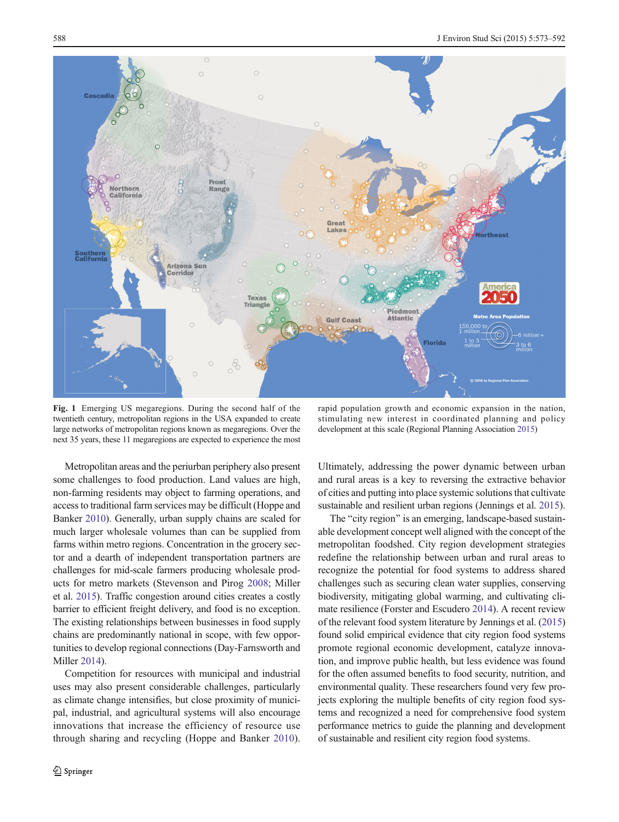<span id="page-15-0"></span>

Fig. 1 Emerging US megaregions. During the second half of the twentieth century, metropolitan regions in the USA expanded to create large networks of metropolitan regions known as megaregions. Over the next 35 years, these 11 megaregions are expected to experience the most

rapid population growth and economic expansion in the nation, stimulating new interest in coordinated planning and policy development at this scale (Regional Planning Association [2015](#page-18-0))

Metropolitan areas and the periurban periphery also present some challenges to food production. Land values are high, non-farming residents may object to farming operations, and access to traditional farm services may be difficult (Hoppe and Banker [2010\)](#page-17-0). Generally, urban supply chains are scaled for much larger wholesale volumes than can be supplied from farms within metro regions. Concentration in the grocery sector and a dearth of independent transportation partners are challenges for mid-scale farmers producing wholesale products for metro markets (Stevenson and Pirog [2008](#page-19-0); Miller et al. [2015\)](#page-18-0). Traffic congestion around cities creates a costly barrier to efficient freight delivery, and food is no exception. The existing relationships between businesses in food supply chains are predominantly national in scope, with few opportunities to develop regional connections (Day-Farnsworth and Miller [2014](#page-17-0)).

Competition for resources with municipal and industrial uses may also present considerable challenges, particularly as climate change intensifies, but close proximity of municipal, industrial, and agricultural systems will also encourage innovations that increase the efficiency of resource use through sharing and recycling (Hoppe and Banker [2010](#page-17-0)).

Ultimately, addressing the power dynamic between urban and rural areas is a key to reversing the extractive behavior of cities and putting into place systemic solutions that cultivate sustainable and resilient urban regions (Jennings et al. [2015](#page-18-0)).

The "city region" is an emerging, landscape-based sustainable development concept well aligned with the concept of the metropolitan foodshed. City region development strategies redefine the relationship between urban and rural areas to recognize the potential for food systems to address shared challenges such as securing clean water supplies, conserving biodiversity, mitigating global warming, and cultivating climate resilience (Forster and Escudero [2014](#page-17-0)). A recent review of the relevant food system literature by Jennings et al. [\(2015](#page-18-0)) found solid empirical evidence that city region food systems promote regional economic development, catalyze innovation, and improve public health, but less evidence was found for the often assumed benefits to food security, nutrition, and environmental quality. These researchers found very few projects exploring the multiple benefits of city region food systems and recognized a need for comprehensive food system performance metrics to guide the planning and development of sustainable and resilient city region food systems.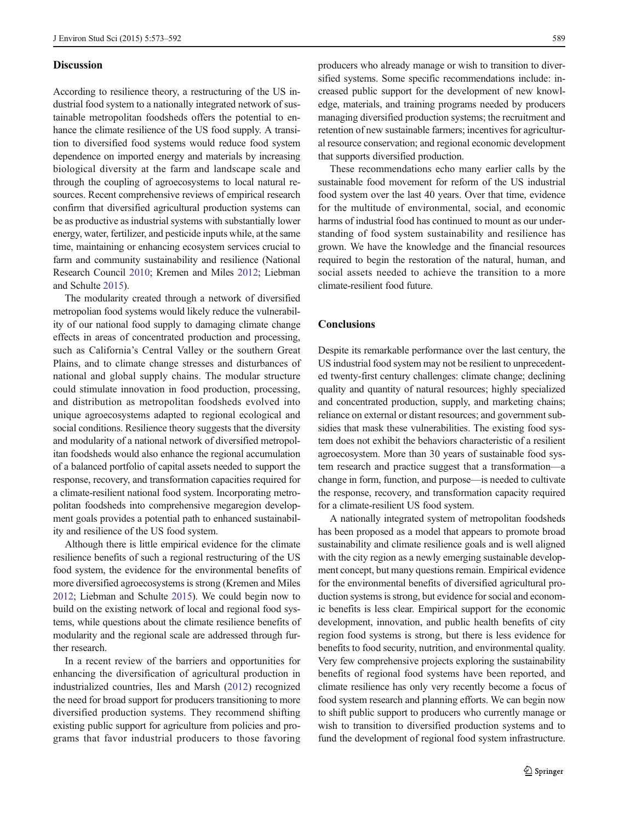#### **Discussion**

According to resilience theory, a restructuring of the US industrial food system to a nationally integrated network of sustainable metropolitan foodsheds offers the potential to enhance the climate resilience of the US food supply. A transition to diversified food systems would reduce food system dependence on imported energy and materials by increasing biological diversity at the farm and landscape scale and through the coupling of agroecosystems to local natural resources. Recent comprehensive reviews of empirical research confirm that diversified agricultural production systems can be as productive as industrial systems with substantially lower energy, water, fertilizer, and pesticide inputs while, at the same time, maintaining or enhancing ecosystem services crucial to farm and community sustainability and resilience (National Research Council [2010](#page-18-0); Kremen and Miles [2012](#page-18-0); Liebman and Schulte [2015\)](#page-18-0).

The modularity created through a network of diversified metropolian food systems would likely reduce the vulnerability of our national food supply to damaging climate change effects in areas of concentrated production and processing, such as California's Central Valley or the southern Great Plains, and to climate change stresses and disturbances of national and global supply chains. The modular structure could stimulate innovation in food production, processing, and distribution as metropolitan foodsheds evolved into unique agroecosystems adapted to regional ecological and social conditions. Resilience theory suggests that the diversity and modularity of a national network of diversified metropolitan foodsheds would also enhance the regional accumulation of a balanced portfolio of capital assets needed to support the response, recovery, and transformation capacities required for a climate-resilient national food system. Incorporating metropolitan foodsheds into comprehensive megaregion development goals provides a potential path to enhanced sustainability and resilience of the US food system.

Although there is little empirical evidence for the climate resilience benefits of such a regional restructuring of the US food system, the evidence for the environmental benefits of more diversified agroecosystems is strong (Kremen and Miles [2012;](#page-18-0) Liebman and Schulte [2015\)](#page-18-0). We could begin now to build on the existing network of local and regional food systems, while questions about the climate resilience benefits of modularity and the regional scale are addressed through further research.

In a recent review of the barriers and opportunities for enhancing the diversification of agricultural production in industrialized countries, Iles and Marsh ([2012\)](#page-17-0) recognized the need for broad support for producers transitioning to more diversified production systems. They recommend shifting existing public support for agriculture from policies and programs that favor industrial producers to those favoring producers who already manage or wish to transition to diversified systems. Some specific recommendations include: increased public support for the development of new knowledge, materials, and training programs needed by producers managing diversified production systems; the recruitment and retention of new sustainable farmers; incentives for agricultural resource conservation; and regional economic development that supports diversified production.

These recommendations echo many earlier calls by the sustainable food movement for reform of the US industrial food system over the last 40 years. Over that time, evidence for the multitude of environmental, social, and economic harms of industrial food has continued to mount as our understanding of food system sustainability and resilience has grown. We have the knowledge and the financial resources required to begin the restoration of the natural, human, and social assets needed to achieve the transition to a more climate-resilient food future.

### **Conclusions**

Despite its remarkable performance over the last century, the US industrial food system may not be resilient to unprecedented twenty-first century challenges: climate change; declining quality and quantity of natural resources; highly specialized and concentrated production, supply, and marketing chains; reliance on external or distant resources; and government subsidies that mask these vulnerabilities. The existing food system does not exhibit the behaviors characteristic of a resilient agroecosystem. More than 30 years of sustainable food system research and practice suggest that a transformation—a change in form, function, and purpose—is needed to cultivate the response, recovery, and transformation capacity required for a climate-resilient US food system.

A nationally integrated system of metropolitan foodsheds has been proposed as a model that appears to promote broad sustainability and climate resilience goals and is well aligned with the city region as a newly emerging sustainable development concept, but many questions remain. Empirical evidence for the environmental benefits of diversified agricultural production systems is strong, but evidence for social and economic benefits is less clear. Empirical support for the economic development, innovation, and public health benefits of city region food systems is strong, but there is less evidence for benefits to food security, nutrition, and environmental quality. Very few comprehensive projects exploring the sustainability benefits of regional food systems have been reported, and climate resilience has only very recently become a focus of food system research and planning efforts. We can begin now to shift public support to producers who currently manage or wish to transition to diversified production systems and to fund the development of regional food system infrastructure.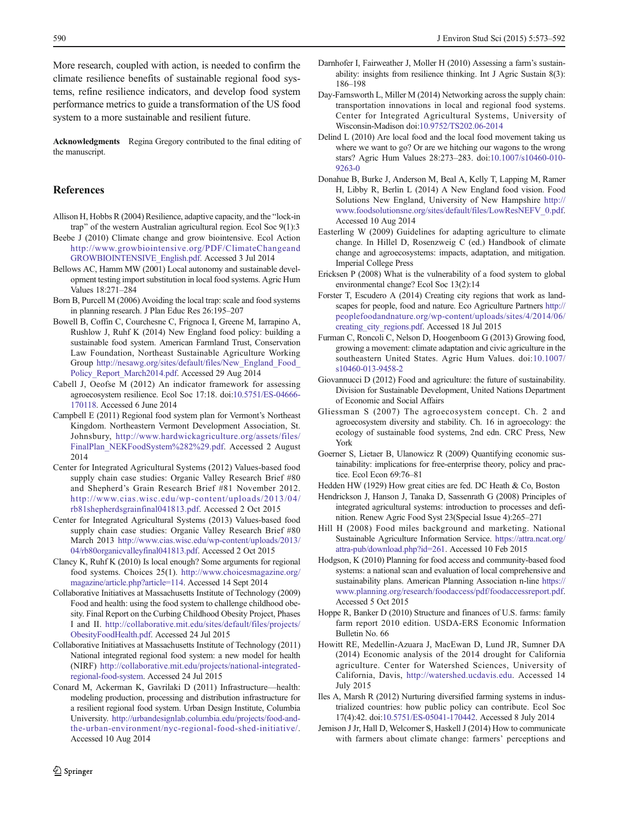<span id="page-17-0"></span>More research, coupled with action, is needed to confirm the climate resilience benefits of sustainable regional food systems, refine resilience indicators, and develop food system performance metrics to guide a transformation of the US food system to a more sustainable and resilient future.

Acknowledgments Regina Gregory contributed to the final editing of the manuscript.

#### References

- Allison H, Hobbs R (2004) Resilience, adaptive capacity, and the "lock-in trap" of the western Australian agricultural region. Ecol Soc  $9(1):3$
- Beebe J (2010) Climate change and grow biointensive. Ecol Action [http://www.growbiointensive.org/PDF/ClimateChangeand](http://www.growbiointensive.org/PDF/ClimateChangeandGROWBIOINTENSIVE_English.pdf) [GROWBIOINTENSIVE\\_English.pdf](http://www.growbiointensive.org/PDF/ClimateChangeandGROWBIOINTENSIVE_English.pdf). Accessed 3 Jul 2014
- Bellows AC, Hamm MW (2001) Local autonomy and sustainable development testing import substitution in local food systems. Agric Hum Values 18:271–284
- Born B, Purcell M (2006) Avoiding the local trap: scale and food systems in planning research. J Plan Educ Res 26:195–207
- Bowell B, Coffin C, Courchesne C, Frignoca I, Greene M, Iarrapino A, Rushlow J, Ruhf K (2014) New England food policy: building a sustainable food system. American Farmland Trust, Conservation Law Foundation, Northeast Sustainable Agriculture Working Group [http://nesawg.org/sites/default/files/New\\_England\\_Food\\_](http://nesawg.org/sites/default/files/New_England_Food_Policy_Report_March2014.pdf) [Policy\\_Report\\_March2014.pdf](http://nesawg.org/sites/default/files/New_England_Food_Policy_Report_March2014.pdf). Accessed 29 Aug 2014
- Cabell J, Oeofse M (2012) An indicator framework for assessing agroecosystem resilience. Ecol Soc 17:18. doi[:10.5751/ES-04666-](http://dx.doi.org/10.5751/ES-04666-170118) [170118.](http://dx.doi.org/10.5751/ES-04666-170118) Accessed 6 June 2014
- Campbell E (2011) Regional food system plan for Vermont's Northeast Kingdom. Northeastern Vermont Development Association, St. Johnsbury, [http://www.hardwickagriculture.org/assets/files/](http://www.hardwickagriculture.org/assets/files/FinalPlan_NEKFoodSystem%282%29.pdf) [FinalPlan\\_NEKFoodSystem%282%29.pdf](http://www.hardwickagriculture.org/assets/files/FinalPlan_NEKFoodSystem%282%29.pdf). Accessed 2 August 2014
- Center for Integrated Agricultural Systems (2012) Values-based food supply chain case studies: Organic Valley Research Brief #80 and Shepherd's Grain Research Brief #81 November 2012. [http://www.cias.wisc.edu/wp-content/uploads/2013/04/](http://www.cias.wisc.edu/wp-content/uploads/2013/04/rb81shepherdsgrainfinal041813.pdf) [rb81shepherdsgrainfinal041813.pdf.](http://www.cias.wisc.edu/wp-content/uploads/2013/04/rb81shepherdsgrainfinal041813.pdf) Accessed 2 Oct 2015
- Center for Integrated Agricultural Systems (2013) Values-based food supply chain case studies: Organic Valley Research Brief #80 March 2013 [http://www.cias.wisc.edu/wp-content/uploads/2013/](http://www.cias.wisc.edu/wp-content/uploads/2013/04/rb80organicvalleyfinal041813.pdf) [04/rb80organicvalleyfinal041813.pdf](http://www.cias.wisc.edu/wp-content/uploads/2013/04/rb80organicvalleyfinal041813.pdf). Accessed 2 Oct 2015
- Clancy K, Ruhf K (2010) Is local enough? Some arguments for regional food systems. Choices 25(1). [http://www.choicesmagazine.org/](http://www.choicesmagazine.org/magazine/article.php?article=114) [magazine/article.php?article=114](http://www.choicesmagazine.org/magazine/article.php?article=114). Accessed 14 Sept 2014
- Collaborative Initiatives at Massachusetts Institute of Technology (2009) Food and health: using the food system to challenge childhood obesity. Final Report on the Curbing Childhood Obesity Project, Phases I and II. [http://collaborative.mit.edu/sites/default/files/projects/](http://collaborative.mit.edu/sites/default/files/projects/ObesityFoodHealth.pdf) [ObesityFoodHealth.pdf](http://collaborative.mit.edu/sites/default/files/projects/ObesityFoodHealth.pdf). Accessed 24 Jul 2015
- Collaborative Initiatives at Massachusetts Institute of Technology (2011) National integrated regional food system: a new model for health (NIRF) [http://collaborative.mit.edu/projects/national-integrated](http://collaborative.mit.edu/projects/national-integrated-regional-food-system)[regional-food-system.](http://collaborative.mit.edu/projects/national-integrated-regional-food-system) Accessed 24 Jul 2015
- Conard M, Ackerman K, Gavrilaki D (2011) Infrastructure—health: modeling production, processing and distribution infrastructure for a resilient regional food system. Urban Design Institute, Columbia University. [http://urbandesignlab.columbia.edu/projects/food-and](http://urbandesignlab.columbia.edu/projects/food-and-the-urban-environment/nyc-regional-food-shed-initiative/)[the-urban-environment/nyc-regional-food-shed-initiative/.](http://urbandesignlab.columbia.edu/projects/food-and-the-urban-environment/nyc-regional-food-shed-initiative/) Accessed 10 Aug 2014
- Darnhofer I, Fairweather J, Moller H (2010) Assessing a farm's sustainability: insights from resilience thinking. Int J Agric Sustain 8(3): 186–198
- Day-Farnsworth L, Miller M (2014) Networking across the supply chain: transportation innovations in local and regional food systems. Center for Integrated Agricultural Systems, University of Wisconsin-Madison doi:[10.9752/TS202.06-2014](http://dx.doi.org/10.9752/TS202.06-2014)
- Delind L (2010) Are local food and the local food movement taking us where we want to go? Or are we hitching our wagons to the wrong stars? Agric Hum Values 28:273–283. doi:[10.1007/s10460-010-](http://dx.doi.org/10.1007/s10460-010-9263-0) [9263-0](http://dx.doi.org/10.1007/s10460-010-9263-0)
- Donahue B, Burke J, Anderson M, Beal A, Kelly T, Lapping M, Ramer H, Libby R, Berlin L (2014) A New England food vision. Food Solutions New England, University of New Hampshire [http://](http://www.foodsolutionsne.org/sites/default/files/LowResNEFV_0.pdf) [www.foodsolutionsne.org/sites/default/files/LowResNEFV\\_0.pdf](http://www.foodsolutionsne.org/sites/default/files/LowResNEFV_0.pdf). Accessed 10 Aug 2014
- Easterling W (2009) Guidelines for adapting agriculture to climate change. In Hillel D, Rosenzweig C (ed.) Handbook of climate change and agroecosystems: impacts, adaptation, and mitigation. Imperial College Press
- Ericksen P (2008) What is the vulnerability of a food system to global environmental change? Ecol Soc 13(2):14
- Forster T, Escudero A (2014) Creating city regions that work as landscapes for people, food and nature. Eco Agriculture Partners [http://](http://peoplefoodandnature.org/wp-content/uploads/sites/4/2014/06/creating_city_regions.pdf) [peoplefoodandnature.org/wp-content/uploads/sites/4/2014/06/](http://peoplefoodandnature.org/wp-content/uploads/sites/4/2014/06/creating_city_regions.pdf) [creating\\_city\\_regions.pdf.](http://peoplefoodandnature.org/wp-content/uploads/sites/4/2014/06/creating_city_regions.pdf) Accessed 18 Jul 2015
- Furman C, Roncoli C, Nelson D, Hoogenboom G (2013) Growing food, growing a movement: climate adaptation and civic agriculture in the southeastern United States. Agric Hum Values. doi:[10.1007/](http://dx.doi.org/10.1007/s10460-013-9458-2) [s10460-013-9458-2](http://dx.doi.org/10.1007/s10460-013-9458-2)
- Giovannucci D (2012) Food and agriculture: the future of sustainability. Division for Sustainable Development, United Nations Department of Economic and Social Affairs
- Gliessman S (2007) The agroecosystem concept. Ch. 2 and agroecosystem diversity and stability. Ch. 16 in agroecology: the ecology of sustainable food systems, 2nd edn. CRC Press, New York
- Goerner S, Lietaer B, Ulanowicz R (2009) Quantifying economic sustainability: implications for free-enterprise theory, policy and practice. Ecol Econ 69:76–81

Hedden HW (1929) How great cities are fed. DC Heath & Co, Boston

- Hendrickson J, Hanson J, Tanaka D, Sassenrath G (2008) Principles of integrated agricultural systems: introduction to processes and definition. Renew Agric Food Syst 23(Special Issue 4):265–271
- Hill H (2008) Food miles background and marketing. National Sustainable Agriculture Information Service. [https://attra.ncat.org/](https://attra.ncat.org/attra-pub/download.php?id=261) [attra-pub/download.php?id=261](https://attra.ncat.org/attra-pub/download.php?id=261). Accessed 10 Feb 2015
- Hodgson, K (2010) Planning for food access and community-based food systems: a national scan and evaluation of local comprehensive and sustainability plans. American Planning Association n-line [https://](https://www.planning.org/research/foodaccess/pdf/foodaccessreport.pdf) [www.planning.org/research/foodaccess/pdf/foodaccessreport.pdf](https://www.planning.org/research/foodaccess/pdf/foodaccessreport.pdf). Accessed 5 Oct 2015
- Hoppe R, Banker D (2010) Structure and finances of U.S. farms: family farm report 2010 edition. USDA-ERS Economic Information Bulletin No. 66
- Howitt RE, Medellin-Azuara J, MacEwan D, Lund JR, Sumner DA (2014) Economic analysis of the 2014 drought for California agriculture. Center for Watershed Sciences, University of California, Davis, [http://watershed.ucdavis.edu.](http://watershed.ucdavis.edu/) Accessed 14 July 2015
- Iles A, Marsh R (2012) Nurturing diversified farming systems in industrialized countries: how public policy can contribute. Ecol Soc 17(4):42. doi[:10.5751/ES-05041-170442.](http://dx.doi.org/10.5751/ES-05041-170442) Accessed 8 July 2014
- Jemison J Jr, Hall D, Welcomer S, Haskell J (2014) How to communicate with farmers about climate change: farmers' perceptions and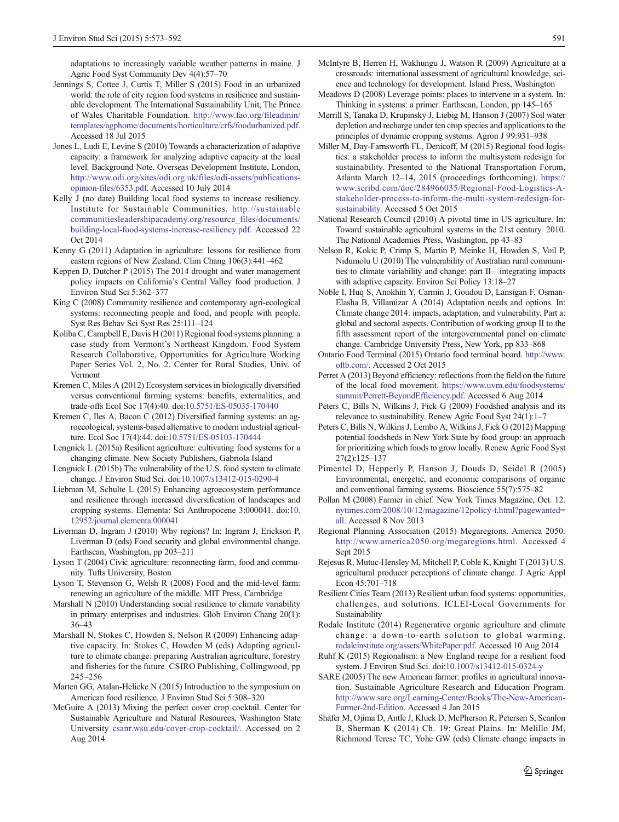<span id="page-18-0"></span>adaptations to increasingly variable weather patterns in maine. J Agric Food Syst Community Dev 4(4):57–70

- Jennings S, Cottee J, Curtis T, Miller S (2015) Food in an urbanized world: the role of city region food systems in resilience and sustainable development. The International Sustainability Unit, The Prince of Wales Charitable Foundation. [http://www.fao.org/fileadmin/](http://www.fao.org/fileadmin/templates/agphome/documents/horticulture/crfs/foodurbanized.pdf) [templates/agphome/documents/horticulture/crfs/foodurbanized.pdf.](http://www.fao.org/fileadmin/templates/agphome/documents/horticulture/crfs/foodurbanized.pdf) Accessed 18 Jul 2015
- Jones L, Ludi E, Levine S (2010) Towards a characterization of adaptive capacity: a framework for analyzing adaptive capacity at the local level. Background Note. Overseas Development Institute, London, [http://www.odi.org/sites/odi.org.uk/files/odi-assets/publications](http://www.odi.org/sites/odi.org.uk/files/odi-assets/publications-opinion-files/6353.pdf)[opinion-files/6353.pdf](http://www.odi.org/sites/odi.org.uk/files/odi-assets/publications-opinion-files/6353.pdf). Accessed 10 July 2014
- Kelly J (no date) Building local food systems to increase resiliency. Institute for Sustainable Communities. [http://sustainable](http://sustainablecommunitiesleadershipacademy.org/resource_files/documents/building-local-food-systems-increase-resiliency.pdf) [communitiesleadershipacademy.org/resource\\_files/documents/](http://sustainablecommunitiesleadershipacademy.org/resource_files/documents/building-local-food-systems-increase-resiliency.pdf) [building-local-food-systems-increase-resiliency.pdf](http://sustainablecommunitiesleadershipacademy.org/resource_files/documents/building-local-food-systems-increase-resiliency.pdf). Accessed 22 Oct 2014
- Kenny G (2011) Adaptation in agriculture: lessons for resilience from eastern regions of New Zealand. Clim Chang 106(3):441–462
- Keppen D, Dutcher P (2015) The 2014 drought and water management policy impacts on California's Central Valley food production. J Environ Stud Sci 5:362–377
- King C (2008) Community resilience and contemporary agri-ecological systems: reconnecting people and food, and people with people. Syst Res Behav Sci Syst Res 25:111–124
- Koliba C, Campbell E, Davis H (2011) Regional food systems planning: a case study from Vermont's Northeast Kingdom. Food System Research Collaborative, Opportunities for Agriculture Working Paper Series Vol. 2, No. 2. Center for Rural Studies, Univ. of Vermont
- Kremen C, Miles A (2012) Ecosystem services in biologically diversified versus conventional farming systems: benefits, externalities, and trade-offs Ecol Soc 17(4):40. doi[:10.5751/ES-05035-170440](http://dx.doi.org/10.5751/ES-05035-170440)
- Kremen C, Iles A, Bacon C (2012) Diversified farming systems: an agroecological, systems-based alternative to modern industrial agriculture. Ecol Soc 17(4):44. doi:[10.5751/ES-05103-170444](http://dx.doi.org/10.5751/ES-05103-170444)
- Lengnick L (2015a) Resilient agriculture: cultivating food systems for a changing climate. New Society Publishers, Gabriola Island
- Lengnick L (2015b) The vulnerability of the U.S. food system to climate change. J Environ Stud Sci. doi[:10.1007/s13412-015-0290-4](http://dx.doi.org/10.1007/s13412-015-0290-4)
- Liebman M, Schulte L (2015) Enhancing agroecosystem performance and resilience through increased diversification of landscapes and cropping systems. Elementa: Sci Anthropocene 3:000041. doi:[10.](http://dx.doi.org/10.12952/journal.elementa.000041) [12952/journal.elementa.000041](http://dx.doi.org/10.12952/journal.elementa.000041)
- Liverman D, Ingram J (2010) Why regions? In: Ingram J, Erickson P, Liverman D (eds) Food security and global environmental change. Earthscan, Washington, pp 203–211
- Lyson T (2004) Civic agriculture: reconnecting farm, food and community. Tufts University, Boston
- Lyson T, Stevenson G, Welsh R (2008) Food and the mid-level farm: renewing an agriculture of the middle. MIT Press, Cambridge
- Marshall N (2010) Understanding social resilience to climate variability in primary enterprises and industries. Glob Environ Chang 20(1): 36–43
- Marshall N, Stokes C, Howden S, Nelson R (2009) Enhancing adaptive capacity. In: Stokes C, Howden M (eds) Adapting agriculture to climate change: preparing Australian agriculture, forestry and fisheries for the future. CSIRO Publishing, Collingwood, pp 245–256
- Marten GG, Atalan-Helicke N (2015) Introduction to the symposium on American food resilience. J Environ Stud Sci 5:308–320
- McGuire A (2013) Mixing the perfect cover crop cocktail. Center for Sustainable Agriculture and Natural Resources, Washington State University [csanr.wsu.edu/cover-crop-cocktail/.](http://csanr.wsu.edu/cover-crop-cocktail/) Accessed on 2 Aug 2014
- McIntyre B, Herren H, Wakhungu J, Watson R (2009) Agriculture at a crossroads: international assessment of agricultural knowledge, science and technology for development. Island Press, Washington
- Meadows D (2008) Leverage points: places to intervene in a system. In: Thinking in systems: a primer. Earthscan, London, pp 145–165
- Merrill S, Tanaka D, Krupinsky J, Liebig M, Hanson J (2007) Soil water depletion and recharge under ten crop species and applications to the principles of dynamic cropping systems. Agron J 99:931–938
- Miller M, Day-Farnsworth FL, Denicoff, M (2015) Regional food logistics: a stakeholder process to inform the multisystem redesign for sustainability. Presented to the National Transportation Forum, Atlanta March 12–14, 2015 (proceedings forthcoming). [https://](https://www.scribd.com/doc/284966035/Regional-Food-Logistics-A-stakeholder-process-to-inform-the-multi-system-redesign-for-sustainability) [www.scribd.com/doc/284966035/Regional-Food-Logistics-A](https://www.scribd.com/doc/284966035/Regional-Food-Logistics-A-stakeholder-process-to-inform-the-multi-system-redesign-for-sustainability)[stakeholder-process-to-inform-the-multi-system-redesign-for](https://www.scribd.com/doc/284966035/Regional-Food-Logistics-A-stakeholder-process-to-inform-the-multi-system-redesign-for-sustainability)[sustainability.](https://www.scribd.com/doc/284966035/Regional-Food-Logistics-A-stakeholder-process-to-inform-the-multi-system-redesign-for-sustainability) Accessed 5 Oct 2015
- National Research Council (2010) A pivotal time in US agriculture. In: Toward sustainable agricultural systems in the 21st century. 2010. The National Academies Press, Washington, pp 43–83
- Nelson R, Kokic P, Crimp S, Martin P, Meinke H, Howden S, Voil P, Nidumolu U (2010) The vulnerability of Australian rural communities to climate variability and change: part II—integrating impacts with adaptive capacity. Environ Sci Policy 13:18–27
- Noble I, Huq S, Anokhin Y, Carmin J, Goudou D, Lansigan F, Osman-Elasha B, Villamizar A (2014) Adaptation needs and options. In: Climate change 2014: impacts, adaptation, and vulnerability. Part a: global and sectoral aspects. Contribution of working group II to the fifth assessment report of the intergovernmental panel on climate change. Cambridge University Press, New York, pp 833–868
- Ontario Food Terminal (2015) Ontario food terminal board. [http://www.](http://www.oftb.com/) [oftb.com/.](http://www.oftb.com/) Accessed 2 Oct 2015
- Perret A (2013) Beyond efficiency: reflections from the field on the future of the local food movement. [https://www.uvm.edu/foodsystems/](https://www.uvm.edu/foodsystems/summit/Perrett-BeyondEfficiency.pdf) [summit/Perrett-BeyondEfficiency.pdf.](https://www.uvm.edu/foodsystems/summit/Perrett-BeyondEfficiency.pdf) Accessed 6 Aug 2014
- Peters C, Bills N, Wilkins J, Fick G (2009) Foodshed analysis and its relevance to sustainability. Renew Agric Food Syst 24(1):1–7
- Peters C, Bills N, Wilkins J, Lembo A, Wilkins J, Fick G (2012) Mapping potential foodsheds in New York State by food group: an approach for prioritizing which foods to grow locally. Renew Agric Food Syst 27(2):125–137
- Pimentel D, Hepperly P, Hanson J, Douds D, Seidel R (2005) Environmental, energetic, and economic comparisons of organic and conventional farming systems. Bioscience 55(7):575–82
- Pollan M (2008) Farmer in chief. New York Times Magazine, Oct. 12. [nytimes.com/2008/10/12/magazine/12policy-t.html?pagewanted=](http://nytimes.com/2008/10/12/magazine/12policy-t.html?pagewanted=all) [all](http://nytimes.com/2008/10/12/magazine/12policy-t.html?pagewanted=all). Accessed 8 Nov 2013
- Regional Planning Association (2015) Megaregions. America 2050. <http://www.america2050.org/megaregions.html>. Accessed 4 Sept 2015
- Rejesus R, Mutuc-Hensley M, Mitchell P, Coble K, Knight T (2013) U.S. agricultural producer perceptions of climate change. J Agric Appl Econ 45:701–718
- Resilient Cities Team (2013) Resilient urban food systems: opportunities, challenges, and solutions. ICLEI-Local Governments for Sustainability
- Rodale Institute (2014) Regenerative organic agriculture and climate change: a down-to-earth solution to global warming. [rodaleinstitute.org/assets/WhitePaper.pdf.](http://rodaleinstitute.org/assets/WhitePaper.pdf) Accessed 10 Aug 2014
- Ruhf K (2015) Regionalism: a New England recipe for a resilient food system. J Environ Stud Sci. doi[:10.1007/s13412-015-0324-y](http://dx.doi.org/10.1007/s13412-015-0324-y)
- SARE (2005) The new American farmer: profiles in agricultural innovation. Sustainable Agriculture Research and Education Program. [http://www.sare.org/Learning-Center/Books/The-New-American-](http://www.sare.org/Learning-Center/Books/The-New-American-Farmer-2nd-Edition)[Farmer-2nd-Edition](http://www.sare.org/Learning-Center/Books/The-New-American-Farmer-2nd-Edition). Accessed 4 Jan 2015
- Shafer M, Ojima D, Antle J, Kluck D, McPherson R, Petersen S, Scanlon B, Sherman K (2014) Ch. 19: Great Plains. In: Melillo JM, Richmond Terese TC, Yohe GW (eds) Climate change impacts in